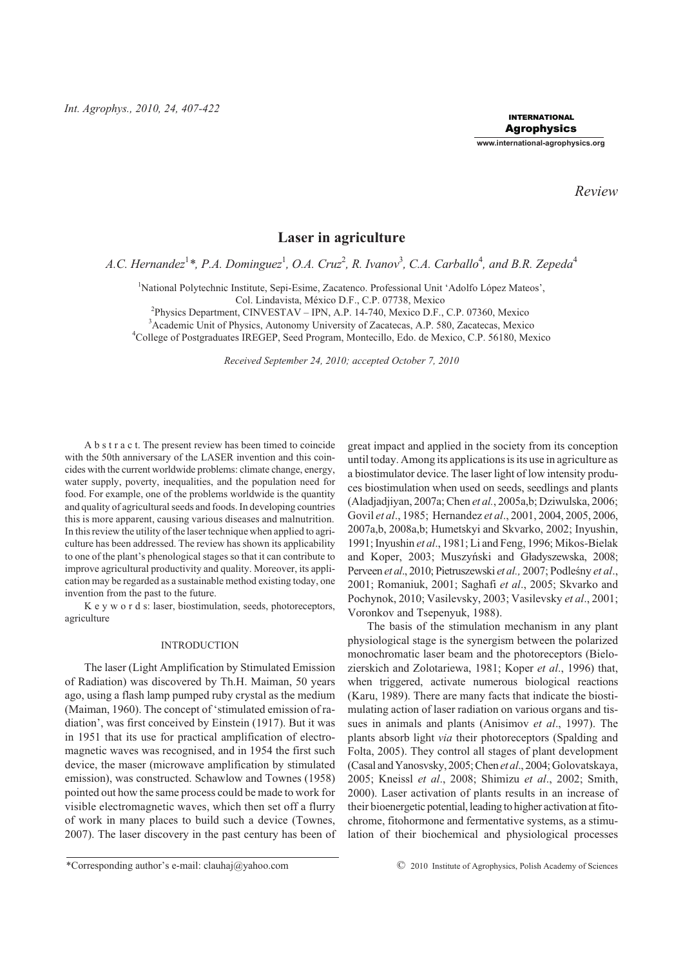*Int. Agrophys., 2010, 24, 407-422*

INTERNATIONAL Agrophysics

**www.international-agrophysics.org**

*Review*

# **Laser in agriculture**

A.C. Hernandez<sup>1</sup>\*, P.A. Dominguez<sup>1</sup>, O.A. Cruz<sup>2</sup>, R. Ivanov<sup>3</sup>, C.A. Carballo<sup>4</sup>, and B.R. Zepeda<sup>4</sup>

<sup>1</sup>National Polytechnic Institute, Sepi-Esime, Zacatenco. Professional Unit 'Adolfo López Mateos',

Col. Lindavista, México D.F., C.P. 07738, Mexico

2 Physics Department, CINVESTAV – IPN, A.P. 14-740, Mexico D.F., C.P. 07360, Mexico

<sup>3</sup>Academic Unit of Physics, Autonomy University of Zacatecas, A.P. 580, Zacatecas, Mexico <sup>4</sup>College of Postgraduates IREGEP, Seed Program, Montecillo, Edo. de Mexico, C.P. 56180, Mexico

*Received September 24, 2010; accepted October 7, 2010*

A b s t r a c t. The present review has been timed to coincide with the 50th anniversary of the LASER invention and this coincides with the current worldwide problems: climate change, energy, water supply, poverty, inequalities, and the population need for food. For example, one of the problems worldwide is the quantity and quality of agricultural seeds and foods. In developing countries this is more apparent, causing various diseases and malnutrition. In this review the utility of the laser technique when applied to agriculture has been addressed. The review has shown its applicability to one of the plant's phenological stages so that it can contribute to improve agricultural productivity and quality. Moreover, its application may be regarded as a sustainable method existing today, one invention from the past to the future.

K e y w o r d s: laser, biostimulation, seeds, photoreceptors, agriculture

### INTRODUCTION

The laser (Light Amplification by Stimulated Emission of Radiation) was discovered by Th.H. Maiman, 50 years ago, using a flash lamp pumped ruby crystal as the medium (Maiman, 1960). The concept of 'stimulated emission of radiation', was first conceived by Einstein (1917). But it was in 1951 that its use for practical amplification of electromagnetic waves was recognised, and in 1954 the first such device, the maser (microwave amplification by stimulated emission), was constructed. Schawlow and Townes (1958) pointed out how the same process could be made to work for visible electromagnetic waves, which then set off a flurry of work in many places to build such a device (Townes, 2007). The laser discovery in the past century has been of great impact and applied in the society from its conception until today. Among its applications is its use in agriculture as a biostimulator device. The laser light of low intensity produces biostimulation when used on seeds, seedlings and plants (Aladjadjiyan, 2007a; Chen *et al.*, 2005a,b; Dziwulska, 2006; Govil *et al*., 1985; Hernandez *et al*., 2001, 2004, 2005, 2006, 2007a,b, 2008a,b; Humetskyi and Skvarko, 2002; Inyushin, 1991; Inyushin *et al*., 1981; Li and Feng, 1996; Mikos-Bielak and Koper, 2003; Muszyński and Gładyszewska, 2008; Perveen et al., 2010; Pietruszewski et al., 2007; Podleśny et al., 2001; Romaniuk, 2001; Saghafi *et al*., 2005; Skvarko and Pochynok, 2010; Vasilevsky, 2003; Vasilevsky *et al*., 2001; Voronkov and Tsepenyuk, 1988).

The basis of the stimulation mechanism in any plant physiological stage is the synergism between the polarized monochromatic laser beam and the photoreceptors (Bielozierskich and Zolotariewa, 1981; Koper *et al*., 1996) that, when triggered, activate numerous biological reactions (Karu, 1989). There are many facts that indicate the biostimulating action of laser radiation on various organs and tissues in animals and plants (Anisimov *et al*., 1997). The plants absorb light *via* their photoreceptors (Spalding and Folta, 2005). They control all stages of plant development (Casal and Yanosvsky, 2005;Chen *et al*., 2004; Golovatskaya, 2005; Kneissl *et al*., 2008; Shimizu *et al*., 2002; Smith, 2000). Laser activation of plants results in an increase of their bioenergetic potential, leading to higher activation at fitochrome, fitohormone and fermentative systems, as a stimulation of their biochemical and physiological processes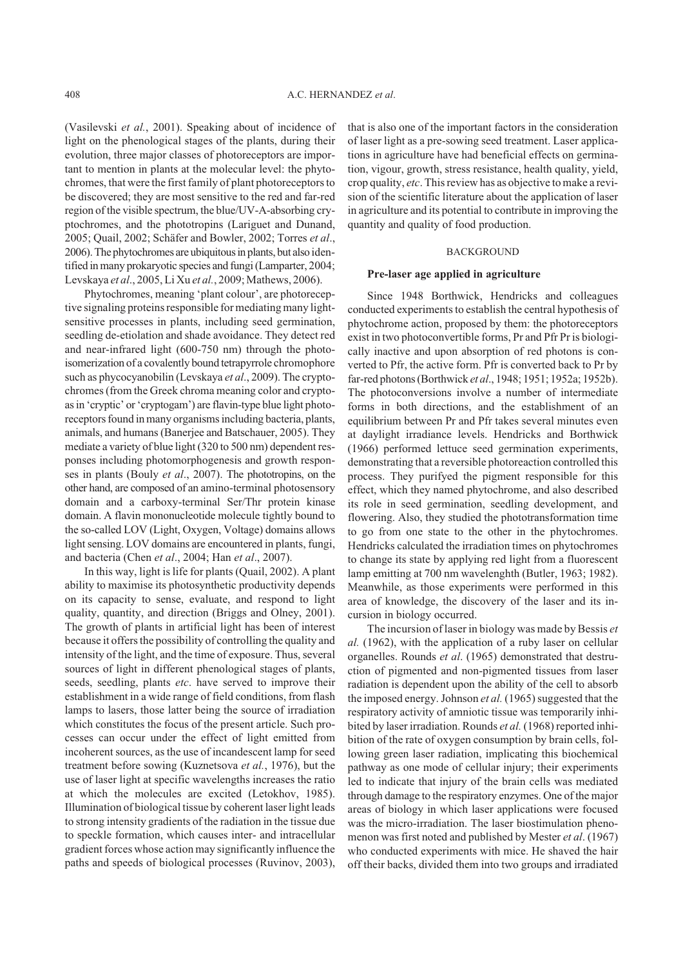(Vasilevski *et al.*, 2001). Speaking about of incidence of light on the phenological stages of the plants, during their evolution, three major classes of photoreceptors are important to mention in plants at the molecular level: the phytochromes, that were the first family of plant photoreceptors to be discovered; they are most sensitive to the red and far-red region of the visible spectrum, the blue/UV-A-absorbing cryptochromes, and the phototropins (Lariguet and Dunand, 2005; Quail, 2002; Schäfer and Bowler, 2002; Torres *et al*., 2006). The phytochromes are ubiquitous in plants, but also identified in many prokaryotic species and fungi (Lamparter, 2004; Levskaya *et al*., 2005, Li Xu *et al.*, 2009; Mathews, 2006).

Phytochromes, meaning 'plant colour', are photoreceptive signaling proteins responsible for mediating many lightsensitive processes in plants, including seed germination, seedling de-etiolation and shade avoidance. They detect red and near-infrared light (600-750 nm) through the photoisomerization of a covalently bound tetrapyrrole chromophore such as phycocyanobilin (Levskaya *et al*., 2009). The cryptochromes (from the Greek chroma meaning color and cryptoas in 'cryptic' or 'cryptogam') are flavin-type blue light photoreceptors found in many organisms including bacteria, plants, animals, and humans (Banerjee and Batschauer, 2005). They mediate a variety of blue light (320 to 500 nm) dependent responses including photomorphogenesis and growth responses in plants (Bouly *et al*., 2007). The phototropins, on the other hand, are composed of an amino-terminal photosensory domain and a carboxy-terminal Ser/Thr protein kinase domain. A flavin mononucleotide molecule tightly bound to the so-called LOV (Light, Oxygen, Voltage) domains allows light sensing. LOV domains are encountered in plants, fungi, and bacteria (Chen *et al*., 2004; Han *et al*., 2007).

In this way, light is life for plants (Quail, 2002). A plant ability to maximise its photosynthetic productivity depends on its capacity to sense, evaluate, and respond to light quality, quantity, and direction (Briggs and Olney, 2001). The growth of plants in artificial light has been of interest because it offers the possibility of controlling the quality and intensity of the light, and the time of exposure. Thus, several sources of light in different phenological stages of plants, seeds, seedling, plants *etc*. have served to improve their establishment in a wide range of field conditions, from flash lamps to lasers, those latter being the source of irradiation which constitutes the focus of the present article. Such processes can occur under the effect of light emitted from incoherent sources, as the use of incandescent lamp for seed treatment before sowing (Kuznetsova *et al.*, 1976), but the use of laser light at specific wavelengths increases the ratio at which the molecules are excited (Letokhov, 1985). Illumination of biological tissue by coherent laser light leads to strong intensity gradients of the radiation in the tissue due to speckle formation, which causes inter- and intracellular gradient forces whose action may significantly influence the paths and speeds of biological processes (Ruvinov, 2003), that is also one of the important factors in the consideration of laser light as a pre-sowing seed treatment. Laser applications in agriculture have had beneficial effects on germination, vigour, growth, stress resistance, health quality, yield, crop quality, *etc*. This review has as objective to make a revision of the scientific literature about the application of laser in agriculture and its potential to contribute in improving the quantity and quality of food production.

# BACKGROUND

## **Pre-laser age applied in agriculture**

Since 1948 Borthwick, Hendricks and colleagues conducted experiments to establish the central hypothesis of phytochrome action, proposed by them: the photoreceptors exist in two photoconvertible forms, Pr and Pfr Pr is biologically inactive and upon absorption of red photons is converted to Pfr, the active form. Pfr is converted back to Pr by far-red photons (Borthwick *et al*., 1948; 1951; 1952a; 1952b). The photoconversions involve a number of intermediate forms in both directions, and the establishment of an equilibrium between Pr and Pfr takes several minutes even at daylight irradiance levels. Hendricks and Borthwick (1966) performed lettuce seed germination experiments, demonstrating that a reversible photoreaction controlled this process. They purifyed the pigment responsible for this effect, which they named phytochrome, and also described its role in seed germination, seedling development, and flowering. Also, they studied the phototransformation time to go from one state to the other in the phytochromes. Hendricks calculated the irradiation times on phytochromes to change its state by applying red light from a fluorescent lamp emitting at 700 nm wavelenghth (Butler, 1963; 1982). Meanwhile, as those experiments were performed in this area of knowledge, the discovery of the laser and its incursion in biology occurred.

The incursion of laser in biology was made by Bessis *et al.* (1962), with the application of a ruby laser on cellular organelles. Rounds *et al*. (1965) demonstrated that destruction of pigmented and non-pigmented tissues from laser radiation is dependent upon the ability of the cell to absorb the imposed energy. Johnson *et al.* (1965) suggested that the respiratory activity of amniotic tissue was temporarily inhibited by laser irradiation. Rounds *et al.* (1968) reported inhibition of the rate of oxygen consumption by brain cells, following green laser radiation, implicating this biochemical pathway as one mode of cellular injury; their experiments led to indicate that injury of the brain cells was mediated through damage to the respiratory enzymes. One of the major areas of biology in which laser applications were focused was the micro-irradiation. The laser biostimulation phenomenon was first noted and published by Mester *et al*. (1967) who conducted experiments with mice. He shaved the hair off their backs, divided them into two groups and irradiated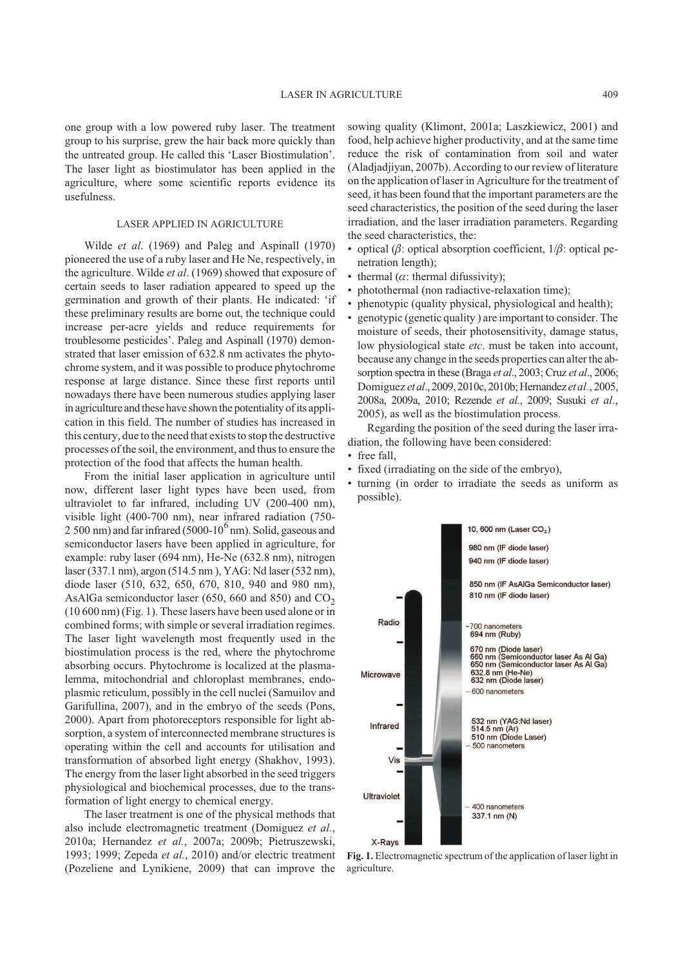one group with a low powered ruby laser. The treatment group to his surprise, grew the hair back more quickly than the untreated group. He called this 'Laser Biostimulation'. The laser light as biostimulator has been applied in the agriculture, where some scientific reports evidence its usefulness.

# LASER APPLIED IN AGRICULTURE

Wilde *et al*. (1969) and Paleg and Aspinall (1970) pioneered the use of a ruby laser and He Ne, respectively, in the agriculture. Wilde *et al*. (1969) showed that exposure of certain seeds to laser radiation appeared to speed up the germination and growth of their plants. He indicated: 'if these preliminary results are borne out, the technique could increase per-acre yields and reduce requirements for troublesome pesticides'. Paleg and Aspinall (1970) demonstrated that laser emission of 632.8 nm activates the phytochrome system, and it was possible to produce phytochrome response at large distance. Since these first reports until nowadays there have been numerous studies applying laser in agriculture and these have shown the potentiality of its application in this field. The number of studies has increased in this century, due to the need that exists to stop the destructive processes of the soil, the environment, and thus to ensure the protection of the food that affects the human health.

From the initial laser application in agriculture until now, different laser light types have been used, from ultraviolet to far infrared, including UV (200-400 nm), visible light (400-700 nm), near infrared radiation (750- 2 500 nm) and far infrared (5000-10<sup>6</sup> nm). Solid, gaseous and semiconductor lasers have been applied in agriculture, for example: ruby laser (694 nm), He-Ne (632.8 nm), nitrogen laser (337.1 nm), argon (514.5 nm ), YAG: Nd laser (532 nm), diode laser (510, 632, 650, 670, 810, 940 and 980 nm), AsAlGa semiconductor laser (650, 660 and 850) and  $CO<sub>2</sub>$ (10 600 nm) (Fig. 1). These lasers have been used alone or in combined forms; with simple or several irradiation regimes. The laser light wavelength most frequently used in the biostimulation process is the red, where the phytochrome absorbing occurs. Phytochrome is localized at the plasmalemma, mitochondrial and chloroplast membranes, endoplasmic reticulum, possibly in the cell nuclei (Samuilov and Garifullina, 2007), and in the embryo of the seeds (Pons, 2000). Apart from photoreceptors responsible for light absorption, a system of interconnected membrane structures is operating within the cell and accounts for utilisation and transformation of absorbed light energy (Shakhov, 1993). The energy from the laser light absorbed in the seed triggers physiological and biochemical processes, due to the transformation of light energy to chemical energy.

The laser treatment is one of the physical methods that also include electromagnetic treatment (Domiguez *et al.*, 2010a; Hernandez *et al.*, 2007a; 2009b; Pietruszewski, 1993; 1999; Zepeda *et al.*, 2010) and/or electric treatment (Pozeliene and Lynikiene, 2009) that can improve the sowing quality (Klimont, 2001a; Laszkiewicz, 2001) and food, help achieve higher productivity, and at the same time reduce the risk of contamination from soil and water (Aladjadjiyan, 2007b). According to our review of literature on the application of laser in Agriculture for the treatment of seed, it has been found that the important parameters are the seed characteristics, the position of the seed during the laser irradiation, and the laser irradiation parameters. Regarding the seed characteristics, the:

- optical ( $\beta$ : optical absorption coefficient,  $1/\beta$ : optical penetration length);
- thermal  $(\alpha)$ : thermal difussivity);
- photothermal (non radiactive-relaxation time);
- phenotypic (quality physical, physiological and health);
- genotypic (genetic quality ) are important to consider. The moisture of seeds, their photosensitivity, damage status, low physiological state *etc*. must be taken into account, because any change in the seeds properties can alter the absorption spectra in these (Braga *et al*., 2003; Cruz *et al*., 2006; Domiguez *et al*., 2009, 2010c, 2010b; Hernandez *et al.*, 2005, 2008a, 2009a, 2010; Rezende *et al.*, 2009; Susuki *et al*., 2005), as well as the biostimulation process.

Regarding the position of the seed during the laser irradiation, the following have been considered:

- free fall,
- fixed (irradiating on the side of the embryo),
- turning (in order to irradiate the seeds as uniform as possible).



**Fig. 1.** Electromagnetic spectrum of the application of laser light in agriculture.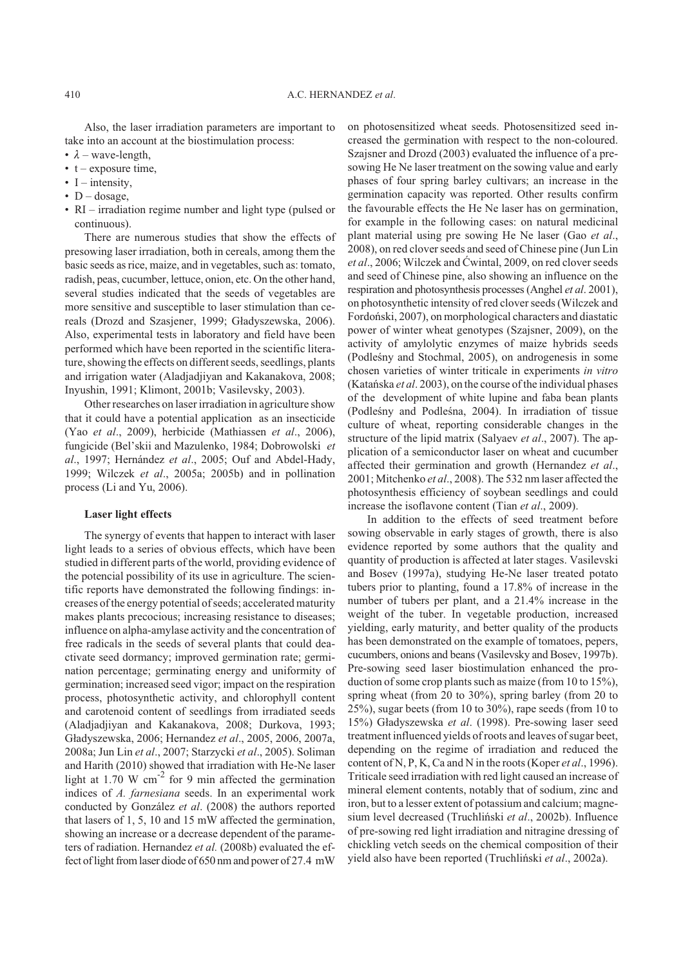Also, the laser irradiation parameters are important to take into an account at the biostimulation process:

- $\lambda$  wave-length,
- $\cdot$  t exposure time,
- I intensity,
- $D d$ osage,
- RI irradiation regime number and light type (pulsed or continuous).

There are numerous studies that show the effects of presowing laser irradiation, both in cereals, among them the basic seeds as rice, maize, and in vegetables, such as: tomato, radish, peas, cucumber, lettuce, onion, etc. On the other hand, several studies indicated that the seeds of vegetables are more sensitive and susceptible to laser stimulation than cereals (Drozd and Szasjener, 1999; Gładyszewska, 2006). Also, experimental tests in laboratory and field have been performed which have been reported in the scientific literature, showing the effects on different seeds, seedlings, plants and irrigation water (Aladjadjiyan and Kakanakova, 2008; Inyushin, 1991; Klimont, 2001b; Vasilevsky, 2003).

Other researches on laser irradiation in agriculture show that it could have a potential application as an insecticide (Yao *et al*., 2009), herbicide (Mathiassen *et al*., 2006), fungicide (Bel'skii and Mazulenko, 1984; Dobrowolski *et al*., 1997; Hernández *et al*., 2005; Ouf and Abdel-Hady, 1999; Wilczek *et al*., 2005a; 2005b) and in pollination process (Li and Yu, 2006).

### **Laser light effects**

The synergy of events that happen to interact with laser light leads to a series of obvious effects, which have been studied in different parts of the world, providing evidence of the potencial possibility of its use in agriculture. The scientific reports have demonstrated the following findings: increases of the energy potential of seeds; accelerated maturity makes plants precocious; increasing resistance to diseases; influence on alpha-amylase activity and the concentration of free radicals in the seeds of several plants that could deactivate seed dormancy; improved germination rate; germination percentage; germinating energy and uniformity of germination; increased seed vigor; impact on the respiration process, photosynthetic activity, and chlorophyll content and carotenoid content of seedlings from irradiated seeds (Aladjadjiyan and Kakanakova, 2008; Durkova, 1993; G³adyszewska, 2006; Hernandez *et al*., 2005, 2006, 2007a, 2008a; Jun Lin *et al*., 2007; Starzycki *et al*., 2005). Soliman and Harith (2010) showed that irradiation with He-Ne laser light at 1.70 W  $\rm cm^{-2}$  for 9 min affected the germination indices of *A. farnesiana* seeds. In an experimental work conducted by González *et al*. (2008) the authors reported that lasers of 1, 5, 10 and 15 mW affected the germination, showing an increase or a decrease dependent of the parameters of radiation. Hernandez *et al.* (2008b) evaluated the effect of light from laser diode of 650 nm and power of 27.4 mW

on photosensitized wheat seeds. Photosensitized seed increased the germination with respect to the non-coloured. Szajsner and Drozd (2003) evaluated the influence of a presowing He Ne laser treatment on the sowing value and early phases of four spring barley cultivars; an increase in the germination capacity was reported. Other results confirm the favourable effects the He Ne laser has on germination, for example in the following cases: on natural medicinal plant material using pre sowing He Ne laser (Gao *et al*., 2008), on red clover seeds and seed of Chinese pine (Jun Lin *et al.*, 2006; Wilczek and Ćwintal, 2009, on red clover seeds and seed of Chinese pine, also showing an influence on the respiration and photosynthesis processes (Anghel *et al*. 2001), on photosynthetic intensity of red clover seeds (Wilczek and Fordoñski, 2007), on morphological characters and diastatic power of winter wheat genotypes (Szajsner, 2009), on the activity of amylolytic enzymes of maize hybrids seeds (Podleśny and Stochmal, 2005), on androgenesis in some chosen varieties of winter triticale in experiments *in vitro* (Katañska *et al*. 2003), on the course of the individual phases of the development of white lupine and faba bean plants (Podleśny and Podleśna, 2004). In irradiation of tissue culture of wheat, reporting considerable changes in the structure of the lipid matrix (Salyaev *et al*., 2007). The application of a semiconductor laser on wheat and cucumber affected their germination and growth (Hernandez *et al*., 2001; Mitchenko *et al*., 2008). The 532 nm laser affected the photosynthesis efficiency of soybean seedlings and could increase the isoflavone content (Tian *et al*., 2009).

In addition to the effects of seed treatment before sowing observable in early stages of growth, there is also evidence reported by some authors that the quality and quantity of production is affected at later stages. Vasilevski and Bosev (1997a), studying He-Ne laser treated potato tubers prior to planting, found a 17.8% of increase in the number of tubers per plant, and a 21.4% increase in the weight of the tuber. In vegetable production, increased yielding, early maturity, and better quality of the products has been demonstrated on the example of tomatoes, pepers, cucumbers, onions and beans (Vasilevsky and Bosev, 1997b). Pre-sowing seed laser biostimulation enhanced the production of some crop plants such as maize (from 10 to 15%), spring wheat (from 20 to 30%), spring barley (from 20 to 25%), sugar beets (from 10 to 30%), rape seeds (from 10 to 15%) G³adyszewska *et al*. (1998). Pre-sowing laser seed treatment influenced yields of roots and leaves of sugar beet, depending on the regime of irradiation and reduced the content of N, P, K, Ca and N in the roots (Koper *et al*., 1996). Triticale seed irradiation with red light caused an increase of mineral element contents, notably that of sodium, zinc and iron, but to a lesser extent of potassium and calcium; magnesium level decreased (Truchliñski *et al*., 2002b). Influence of pre-sowing red light irradiation and nitragine dressing of chickling vetch seeds on the chemical composition of their yield also have been reported (Truchliñski *et al*., 2002a).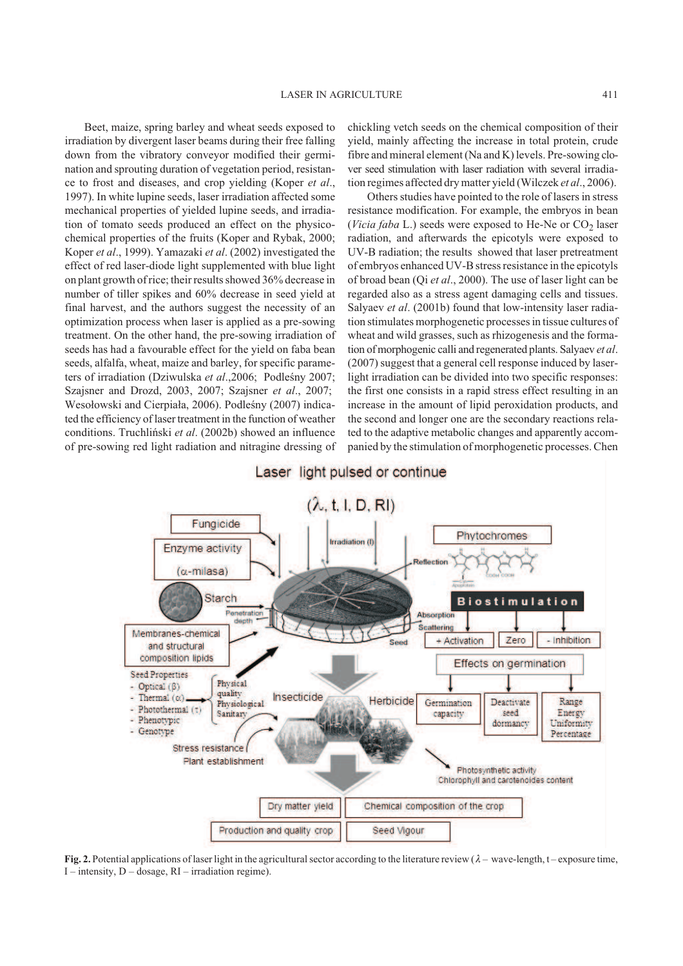Beet, maize, spring barley and wheat seeds exposed to irradiation by divergent laser beams during their free falling down from the vibratory conveyor modified their germination and sprouting duration of vegetation period, resistance to frost and diseases, and crop yielding (Koper *et al*., 1997). In white lupine seeds, laser irradiation affected some mechanical properties of yielded lupine seeds, and irradiation of tomato seeds produced an effect on the physicochemical properties of the fruits (Koper and Rybak, 2000; Koper *et al*., 1999). Yamazaki *et al*. (2002) investigated the effect of red laser-diode light supplemented with blue light on plant growth of rice; their results showed 36% decrease in number of tiller spikes and 60% decrease in seed yield at final harvest, and the authors suggest the necessity of an optimization process when laser is applied as a pre-sowing treatment. On the other hand, the pre-sowing irradiation of seeds has had a favourable effect for the yield on faba bean seeds, alfalfa, wheat, maize and barley, for specific parameters of irradiation (Dziwulska et al.,2006; Podleśny 2007; Szajsner and Drozd, 2003, 2007; Szajsner *et al*., 2007; Wesołowski and Cierpiała, 2006). Podleśny (2007) indicated the efficiency of laser treatment in the function of weather conditions. Truchliñski *et al*. (2002b) showed an influence of pre-sowing red light radiation and nitragine dressing of chickling vetch seeds on the chemical composition of their yield, mainly affecting the increase in total protein, crude fibre and mineral element (Na and K) levels. Pre-sowing clover seed stimulation with laser radiation with several irradiation regimes affected dry matter yield (Wilczek *et al*., 2006).

Others studies have pointed to the role of lasers in stress resistance modification. For example, the embryos in bean (Vicia faba L.) seeds were exposed to He-Ne or CO<sub>2</sub> laser radiation, and afterwards the epicotyls were exposed to UV-B radiation; the results showed that laser pretreatment of embryos enhanced UV-B stress resistance in the epicotyls of broad bean (Qi *et al*., 2000). The use of laser light can be regarded also as a stress agent damaging cells and tissues. Salyaev *et al*. (2001b) found that low-intensity laser radiation stimulates morphogenetic processes in tissue cultures of wheat and wild grasses, such as rhizogenesis and the formation of morphogenic calli and regenerated plants. Salyaev *et al*. (2007) suggest that a general cell response induced by laserlight irradiation can be divided into two specific responses: the first one consists in a rapid stress effect resulting in an increase in the amount of lipid peroxidation products, and the second and longer one are the secondary reactions related to the adaptive metabolic changes and apparently accompanied by the stimulation of morphogenetic processes. Chen



**Fig. 2.** Potential applications of laser light in the agricultural sector according to the literature review  $(\lambda -$  wave-length, t – exposure time, I – intensity, D – dosage, RI – irradiation regime).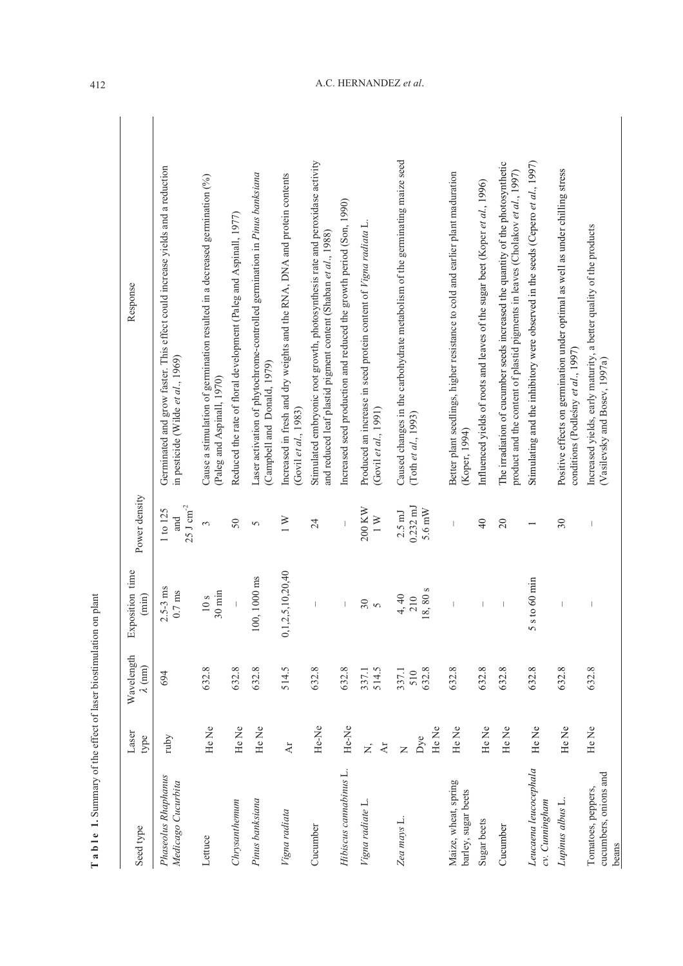| Seed type                                            | Laser<br>type                           | Wavelength<br>$\lambda$ (nm) | Exposition time<br>$(\min)$         | Power density                                    | Response                                                                                                                                                        |
|------------------------------------------------------|-----------------------------------------|------------------------------|-------------------------------------|--------------------------------------------------|-----------------------------------------------------------------------------------------------------------------------------------------------------------------|
| Phaseolus Rhaphanus<br>Medicago Cucurbita            | ruby                                    | 694                          | $2.5 - 3$ ms<br>$0.7\:\mathrm{ms}$  | $25~\mathrm{J~cm}^{2}$<br>1 to 125<br>nd<br>and  | Germinated and grow faster. This effect could increase yields and a reduction<br>in pesticide (Wilde et al., 1969)                                              |
| Lettuce                                              | He Ne                                   | 632.8                        | $30 \text{ min}$<br>10 <sub>s</sub> | 3                                                | Cause a stimulation of germination resulted in a decreased germination $(%)$<br>(Paleg and Aspinall, 1970)                                                      |
| Chrysanthemum                                        | He Ne                                   | 632.8                        |                                     | 50                                               | Reduced the rate of floral development (Paleg and Aspinall, 1977)                                                                                               |
| Pinus banksiana                                      | He Ne                                   | 632.8                        | 100, 1000 ms                        | 5                                                | Laser activation of phytochrome-controlled germination in Pinus banksiana<br>(Campbell and Donald, 1979)                                                        |
| Vigna radiata                                        | $\overline{A}$                          | 514.5                        | 0, 1, 2, 5, 10, 20, 40              | $\geq$                                           | Increased in fresh and dry weights and the RNA, DNA and protein contents<br>(Govil et al., 1983)                                                                |
| Cucumber                                             | He-Ne                                   | 632.8                        |                                     | 24                                               | Stimulated embryonic root growth, photosynthesis rate and peroxidase activity<br>and reduced leaf plastid pigment content (Shaban et al., 1988)                 |
| Hibiscus cannabinus L.                               | He-Ne                                   | 632.8                        | I                                   |                                                  | Increased seed production and reduced the growth period (Son, 1990)                                                                                             |
| Vigna radiate L.                                     | $\Delta r$<br><b>z</b>                  | 337.1<br>514.5               | $\frac{30}{5}$                      | 200 KW<br>$\overline{1}$                         | Produced an increase in seed protein content of Vigna radiata L.<br>(Govil et al., 1991)                                                                        |
| Zea mays L.                                          | He Ne<br>$_{\rm Dye}$<br>$\overline{z}$ | 632.8<br>337.1<br>510        | 8,80 s<br>4,40<br>210               | $0.232 \text{ mJ}$<br>5.6 mW<br>$2.5 \text{ ml}$ | Caused changes in the carbohydrate metabolism of the germinating maize seed<br>(Toth et al., 1993)                                                              |
| Maize, wheat, spring<br>barley, sugar beets          | He Ne                                   | 632.8                        |                                     | $\overline{\phantom{a}}$                         | Better plant seedlings, higher resistance to cold and earlier plant maduration<br>(Koper, 1994)                                                                 |
| Sugar beets                                          | He Ne                                   | 632.8                        |                                     | $\overline{4}$                                   | Influenced yields of roots and leaves of the sugar beet (Koper et al., 1996)                                                                                    |
| Cucumber                                             | He Ne                                   | 632.8                        | $\overline{\phantom{a}}$            | $\overline{c}$                                   | The irradiation of cucumber seeds increased the quantity of the photosynthetic<br>product and the content of plastid pigments in leaves (Cholakov et al., 1997) |
| Leucaena leucocephala<br>cv. Cunningham              | He Ne                                   | 632.8                        | $\frac{1}{100}$ 60 min<br>5s        | $\overline{\phantom{0}}$                         | Stimulating and the inhibitory were observed in the seeds (Cepero et al., 1997)                                                                                 |
| Lupinus albus L.                                     | He Ne                                   | 632.8                        |                                     | $30\,$                                           | Positive effects on germination under optimal as well as under chilling stress<br>conditions (Podleśny et al., 1997)                                            |
| cucumbers, onions and<br>Tomatoes, peppers,<br>beans | He Ne                                   | 632.8                        |                                     |                                                  | Increased yields, early maturity, a better quality of the products<br>(Vasilevsky and Bosev, 1997a)                                                             |

Table 1. Summary of the effect of laser biostimulation on plant **T a b l e 1.** Summary of the effect of laser biostimulation on plant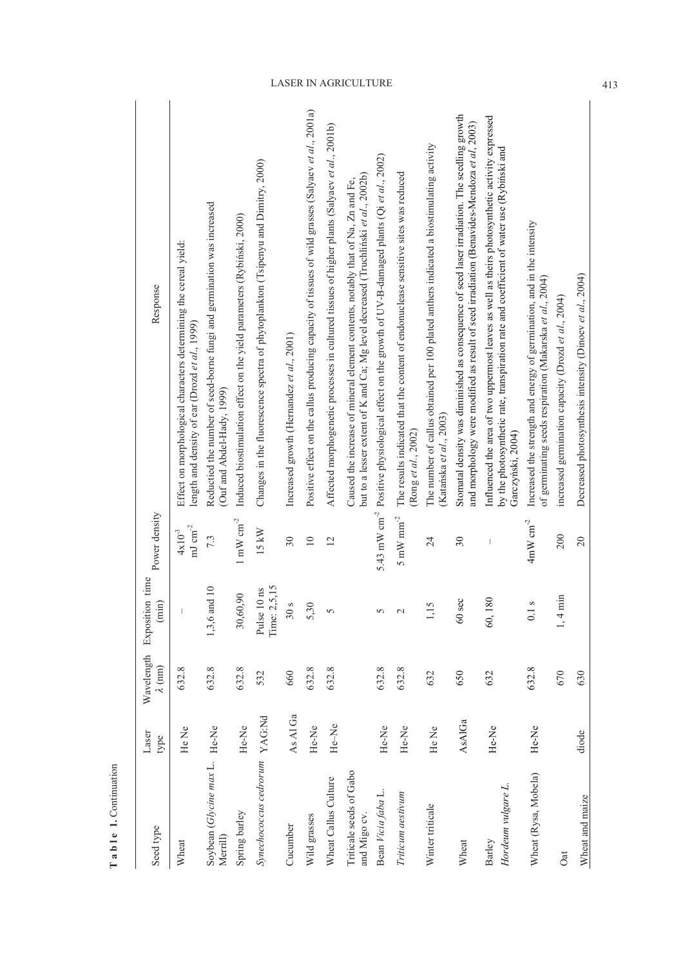| Seed type                                 | Laser<br>type | Wavelength<br>$\lambda$ (nm) | time<br>Exposition<br>$(\min)$ | Power density                           | Response                                                                                                                                                                                                          |
|-------------------------------------------|---------------|------------------------------|--------------------------------|-----------------------------------------|-------------------------------------------------------------------------------------------------------------------------------------------------------------------------------------------------------------------|
| Wheat                                     | He Ne         | 632.8                        |                                | $\, {\rm mJ \, cm}^{-2}$<br>$4x10^{-3}$ | Effect on morphological characters determining the cereal yield:<br>length and density of ear (Drozd et $al$ , 1999)                                                                                              |
| Soybean (Glycine max L. He-Ne<br>Merrill) |               | 632.8                        | 1,3,6 and 10                   | 7.3                                     | Reductied the number of seed-borne fungi and germination was increased<br>(Ouf and Abdel-Hady, 1999)                                                                                                              |
| Spring barley                             | He-Ne         | 632.8                        | 30,60,90                       | $1\ \mathrm{mW\ cm}^{2}$                | Induced biostimulation effect on the yield parameters (Rybiński, 2000)                                                                                                                                            |
| Synechococcus cedrorum YAG:Nd             |               | 532                          | Time: 2,5,15<br>Pulse 10 ns    | 15 kW                                   | Changes in the fluorescence spectra of phytoplankton (Tsipenyu and Dimitry, 2000)                                                                                                                                 |
| Cucumber                                  | As Al Ga      | 660                          | 30s                            | 30                                      | Increased growth (Hernandez et al., 2001)                                                                                                                                                                         |
| Wild grasses                              | He-Ne         | 632.8                        | 5,30                           | $\equiv$                                | Positive effect on the callus producing capacity of tissues of wild grasses (Salyaev et al., 2001a)                                                                                                               |
| Wheat Callus Culture                      | He-Ne         | 632.8                        | $\overline{5}$                 | $\overline{2}$                          | Affected morphogenetic processes in cultured tissues of higher plants (Salyaev et al., 2001b)                                                                                                                     |
| Triticale seeds of Gabo<br>and Migo cv.   |               |                              |                                |                                         | but to a lesser extent of K and Ca; Mg level decreased (Truchlinski et al., 2002b)<br>Caused the increase of mineral element contents, notably that of Na, Zn and Fe,                                             |
| Bean Vicia faba L.                        | He-Ne         | 632.8                        | 5                              |                                         | 5.43 mW cm <sup>-2</sup> Positive physiological effect on the growth of UV-B-damaged plants (Qi et al., 2002)                                                                                                     |
| Triticum aestivum                         | He-Ne         | 632.8                        | $\sim$                         | $5\ \mathrm{mW}\ \mathrm{mm}^{-2}$      | The results indicated that the content of endonuclease sensitive sites was reduced<br>(Rong et al., 2002)                                                                                                         |
| Winter triticale                          | He Ne         | 632                          | 1,15                           | 24                                      | The number of callus obtained per 100 plated anthers indicated a biostimulating activity<br>(Katańska et al., 2003)                                                                                               |
| Wheat                                     | AsAlGa        | 650                          | $60$ sec                       | 30                                      | Stomatal density was diminished as consequence of seed laser irradiation. The seedling growth<br>and morphology were modified as result of seed irradiation (Benavides-Mendoza et al, 2003)                       |
| Hordeum vulgare L.<br>Barley              | He-Ne         | 632                          | 60,180                         |                                         | Influenced the area of two uppermost leaves as well as theirs photosynthetic activity expressed<br>by the photosynthetic rate, transpiration rate and coefficient of water use (Rybiński and<br>Garczyński, 2004) |
| Wheat (Rysa, Mobela)                      | He-Ne         | 632.8                        | 0.1 s                          | $4 \text{mW cm}^{-2}$                   | Increased the strength and energy of germination, and in the intensity<br>of germinating seeds respiration (Makarska et al., 2004)                                                                                |
| Oat                                       |               | 670                          | $1, 4 \text{ min}$             | 200                                     | increased germination capacity (Drozd et al., 2004)                                                                                                                                                               |
| Wheat and maize                           | diode         | 630                          |                                | 20                                      | Decreased photosynthesis intensity (Dinoev et al., 2004)                                                                                                                                                          |
|                                           |               |                              |                                |                                         |                                                                                                                                                                                                                   |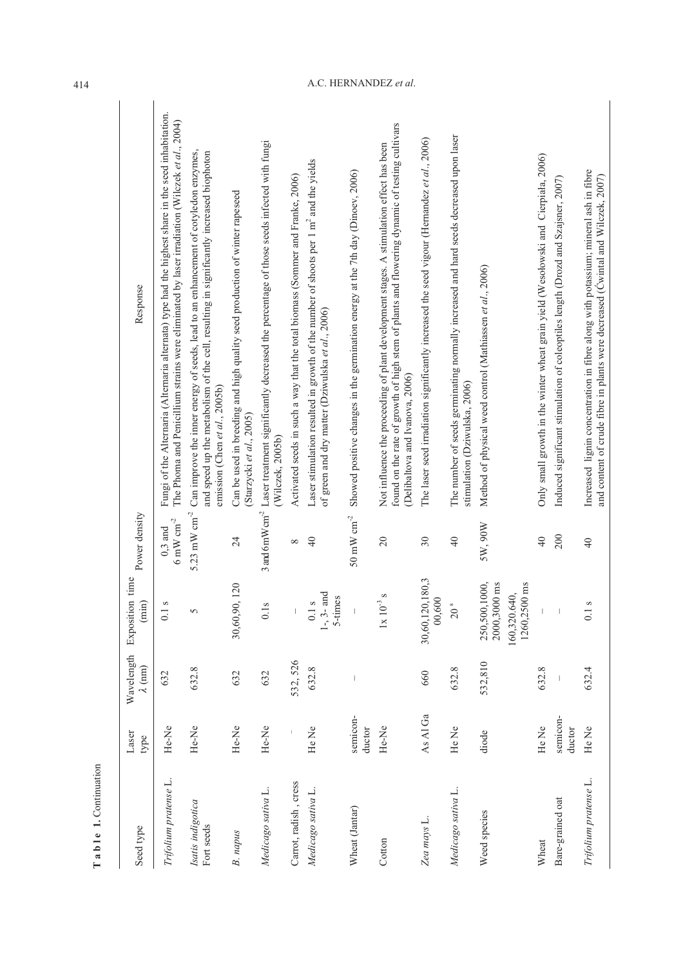| Seed type                       | Laser<br>type      | Wavelength<br>$\lambda$ (nm) | Exposition time<br>(min)                                      | Power density                                                      | Response                                                                                                                                                                                                                    |
|---------------------------------|--------------------|------------------------------|---------------------------------------------------------------|--------------------------------------------------------------------|-----------------------------------------------------------------------------------------------------------------------------------------------------------------------------------------------------------------------------|
| Trifolium pratense L.           | He-Ne              | 632                          | S<br>0.1                                                      | $6\text{ }\mathrm{mW}\text{ }\mathrm{cm}^{\text{-2}}$<br>$0,3$ and | Fungi of the Alternaria (Alternaria alternata) type had the highest share in the seed inhabitation.<br>The Phoma and Penicillium strains were eliminated by laser irradiation (Wilczek et al., 2004)                        |
| Isatis indigotica<br>Fort seeds | He-Ne              | 632.8                        | $\gamma$                                                      | 5.23 mW $cm^{-2}$                                                  | Can improve the inner energy of seeds, lead to an enhancement of cotyledon enzymes,<br>and speed up the metabolism of the cell, resulting in significantly increased biophoton<br>emission (Chen et al., 2005b)             |
| B. napus                        | He-Ne              | 632                          | 30,60,90,120                                                  | 24                                                                 | Can be used in breeding and high quality seed production of winter rapeseed<br>(Starzycki et al., 2005)                                                                                                                     |
| Medicago sativa L.              | He-Ne              | 632                          | S<br>$\overline{0}$                                           | 3 and 6 mW $cm2$                                                   | Laser treatment significantly decreased the percentage of those seeds infected with fungi<br>(Wilczek, 2005b)                                                                                                               |
| Carrot, radish, cress           |                    | 532, 526                     |                                                               | ${}^{\circ}$                                                       | Activated seeds in such a way that the total biomass (Sommer and Franke, 2006)                                                                                                                                              |
| Medicago sativa L.              | He Ne              | 632.8                        | and<br>5-times<br>S<br>$0.1\,$<br>$1-3-$                      | $\overline{4}$                                                     | Laser stimulation resulted in growth of the number of shoots per 1 m <sup>2</sup> and the yields<br>of green and dry matter (Dziwulska et al., 2006)                                                                        |
| Wheat (Jantar)                  | semicon-<br>ductor |                              |                                                               | $50 \:\rm mW~cm^{-2}$                                              | Showed positive changes in the germination energy at the 7th day (Dinoev, 2006)                                                                                                                                             |
| Cotton                          | He-Ne              |                              | S<br>$1x\ 10^{-3}$                                            | $\overline{20}$                                                    | found on the rate of growth of high stem of plants and flowering dynamic of testing cultivars<br>Not influence the proceeding of plant development stages. A stimulation effect has been<br>(Delibaltova and Ivanova, 2006) |
| Zea mays L.                     | As Al Ga           | 660                          | 30,60,120,180,3<br>00,600                                     | $30\,$                                                             | The laser seed irradiation significantly increased the seed vigour (Hernandez et al., 2006)                                                                                                                                 |
| Medicago sativa L.              | He Ne              | 632.8                        | s,<br>20                                                      | $\overline{40}$                                                    | The number of seeds germinating normally increased and hard seeds decreased upon laser<br>stimulation (Dziwulska, 2006)                                                                                                     |
| Weed species                    | diode              | 532,810                      | 250,500,1000,<br>2000,3000 ms<br>1260,2500 ms<br>160,320.640, | 5W, 90W                                                            | Method of physical weed control (Mathiassen et al., 2006)                                                                                                                                                                   |
| Wheat                           | He Ne              | 632.8                        |                                                               | $\overline{40}$                                                    | Only small growth in the winter wheat grain yield (Wesołowski and Cierpiała, 2006)                                                                                                                                          |
| Bare-grained oat                | semicon-<br>ductor |                              | J.                                                            | 200                                                                | Induced significant stimulation of coleoptiles length (Drozd and Szajsner, 2007)                                                                                                                                            |
| Trifolium pratense L.           | He Ne              | 632.4                        | S<br>0.1                                                      | $\frac{4}{0}$                                                      | Increased lignin concentration in fibre along with potassium; mineral ash in fibre<br>and content of crude fibre in plants were decreased (Cwintal and Wilczek, 2007)                                                       |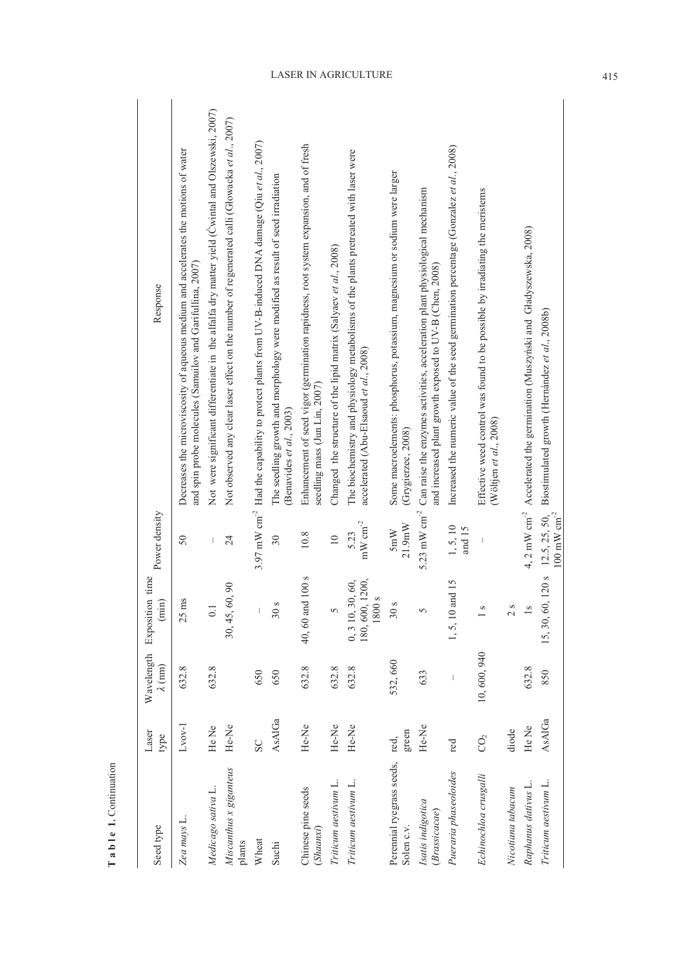| Seed type                               | Laser<br>type    | Wavelength<br>$\lambda$ (nm) | Exposition time<br>(imin)                    | Power density                              | Response                                                                                                                                                         |
|-----------------------------------------|------------------|------------------------------|----------------------------------------------|--------------------------------------------|------------------------------------------------------------------------------------------------------------------------------------------------------------------|
| Zea mays L.                             | $L$ vov- $l$     | 632.8                        | $25$ ms                                      | 50                                         | Decreases the microviscosity of aqueous medium and accelerates the motions of water<br>and spin probe molecules (Samuilov and Garifullina, 2007)                 |
| Medicago sativa L.                      | He Ne            | 632.8                        | $\dot{\circ}$                                | I                                          | Not were significant differentiate in the alfalfa dry matter yield (Cwintal and Olszewski, 2007)                                                                 |
| Miscanthus x giganteus<br>plants        | He-Ne            |                              | 60,90<br>30, 45,                             | 24                                         | Not observed any clear laser effect on the number of regenerated calli (Głowacka et al., 2007)                                                                   |
| Wheat                                   | SC               | 650                          |                                              |                                            | 3.97 mW cm <sup>-2</sup> Had the capability to protect plants from UV-B-induced DNA damage (Qiu et al., 2007)                                                    |
| Suchi                                   | AsAlGa           | 650                          | S<br>30                                      | $\overline{30}$                            | The seedling growth and morphology were modified as result of seed irradiation<br>(Benavides et al., 2003)                                                       |
| Chinese pine seeds<br>(Shaanxi)         | He-Ne            | 632.8                        | 40, 60 and 100 s                             | 10.8                                       | Enhancement of seed vigor (germination rapidness, root system expansion, and of fresh<br>seedling mass (Jun Lin, 2007)                                           |
| Triticum aestivum L.                    | He-Ne            | 632.8                        |                                              | $\supseteq$                                | Changed the structure of the lipid matrix (Salyaev et al., 2008)                                                                                                 |
| Triticum aestivum L.                    | He-Ne            | 632.8                        | 180, 600, 1200,<br>0, 310, 30, 60,<br>1800 s | $\rm mW~cm^{-2}$<br>5.23                   | The biochemistry and physiology metabolisms of the plants pretreated with laser were<br>accelerated (Abu-Elsaoud et al., 2008)                                   |
| Perennial ryegrass seeds,<br>Solen c.v. | green<br>red,    | 532,660                      | S<br>$30\,$                                  | 21.9mW<br>5mW                              | Some macroelements: phosphorus, potassium, magnesium or sodium were larger<br>(Grygierzec, 2008)                                                                 |
| Isatis indigotica<br>(Brassicacae)      | He-Ne            | 633                          |                                              |                                            | 5.23 mW cm <sup>-2</sup> Can raise the enzymes activities, acceleration plant physiological mechanism<br>and increased plant growth exposed to UV-B (Chen, 2008) |
| Pueraria phaseoloides                   | red              |                              | and 15<br>1, 5, 10                           | 1, 5, 10<br>and 15                         | Increased the numeric value of the seed germination percentage (Gonzalez et al., 2008)                                                                           |
| Echinochloa crusgalli                   | $\overline{O}_2$ | 10,600,940                   | S                                            |                                            | Effective weed control was found to be possible by irradiating the meristems<br>(Wöltjen et al., $2008$ )                                                        |
| Nicotiana tabacum                       | diode            |                              | S<br>$\mathbf 2$                             |                                            |                                                                                                                                                                  |
| Raphanus dativus L.                     | He Ne            | 632.8                        |                                              |                                            | 4, 2 mW cm <sup>-2</sup> Accelerated the germination (Muszyński and Gładyszewska, 2008)                                                                          |
| Triticum aestivum L.                    | AsAlGa           | 850                          | 15, 30, 60, 120 s                            | $12.5, 25, 50,$<br>100 mW cm <sup>-2</sup> | Biostimulated growth (Hernández et al., 2008b)                                                                                                                   |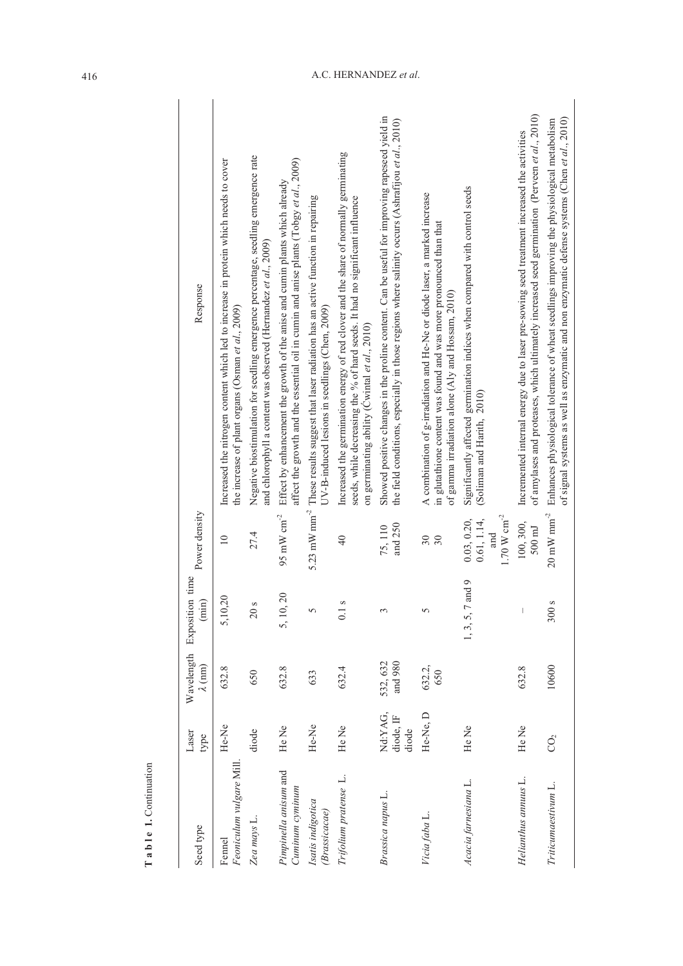| Seed type                                | Laser<br>type                 | $\lambda$ (nm)      | Wavelength Exposition time<br>$(\min)$ | Power density                                                  | Response                                                                                                                                                                                                              |
|------------------------------------------|-------------------------------|---------------------|----------------------------------------|----------------------------------------------------------------|-----------------------------------------------------------------------------------------------------------------------------------------------------------------------------------------------------------------------|
| Feoniculum vulgare Mill.<br>Fennel       | He-Ne                         | 632.8               | 20<br>5,10,                            | $\overline{10}$                                                | Increased the nitrogen content which led to increase in protein which needs to cover<br>the increase of plant organs (Osman et al., 2009)                                                                             |
| Zea mays L.                              | diode                         | 650                 | S<br>$20$                              | 27.4                                                           | Negative biostimulation for seedling emergence percentage, seedling emergence rate<br>and chlorophyll a content was observed (Hernandez et al., 2009)                                                                 |
| Pimpinella anisum and<br>Cuminum cyminum | He Ne                         | 632.8               | 5, 10, 20                              | $95~\mathrm{mW~cm}^{2}$                                        | affect the growth and the essential oil in cumin and anise plants (Tobgy et al., 2009)<br>Effect by enhancement the growth of the anise and cumin plants which already                                                |
| Isatis indigotica<br>(Brassicacae)       | He-Ne                         | 633                 | 5                                      |                                                                | 5.23 mW mm <sup>-2</sup> These results suggest that laser radiation has an active function in repairing<br>UV-B-induced lesions in seedlings (Chen, 2009)                                                             |
| Trifolium pratense L.                    | He Ne                         | 632.4               | S<br>$\overline{0}$ .                  | $\overline{40}$                                                | Increased the germination energy of red clover and the share of normally germinating<br>seeds, while decreasing the % of hard seeds. It had no significant influence<br>on germinating ability (Cwintal et al., 2010) |
| Brassica napus L.                        | Nd:YAG,<br>diode, IF<br>diode | and 980<br>532, 632 | 3                                      | and $250$<br>75, 110                                           | Showed positive changes in the proline content. Can be useful for improving rapeseed yield in<br>the field conditions, especially in those regions where salinity occurs (Ashrafijou et al., 2010)                    |
| Vicia faba L.                            | He-Ne, D                      | 632.2,<br>650       | 5                                      | $30\,$<br>30                                                   | A combination of g-irradiation and He-Ne or diode laser, a marked increase<br>in glutathione content was found and was more pronounced than that<br>of gamma irradiation alone (Aly and Hossam, 2010)                 |
| Acacia farnesiana L.                     | He Ne                         |                     | and 9<br>1, 3, 5, 7                    | $1.70~\mathrm{W~cm}^{-2}$<br>0.03, 0.20,<br>0.61, 1.14,<br>and | Significantly affected germination indices when compared with control seeds<br>(Soliman and Harith, 2010)                                                                                                             |
| Helianthus annuus L.                     | He Ne                         | 632.8               |                                        | 100, 300,<br>$500 \text{ mJ}$                                  | of amylases and proteases, which ultimately increased seed germination (Perveen et al., 2010)<br>Incremented internal energy due to laser pre-sowing seed treatment increased the activities                          |
| Triticumaestivum L.                      | CO <sub>2</sub>               | 10600               | S<br>300                               | $20~\mathrm{mW}$ $\mathrm{mm}^{\text{-2}}$                     | of signal systems as well as enzymatic and non enzymatic defense systems (Chen et al., 2010)<br>Enhances physiological tolerance of wheat seedlings improving the physiological metabolism                            |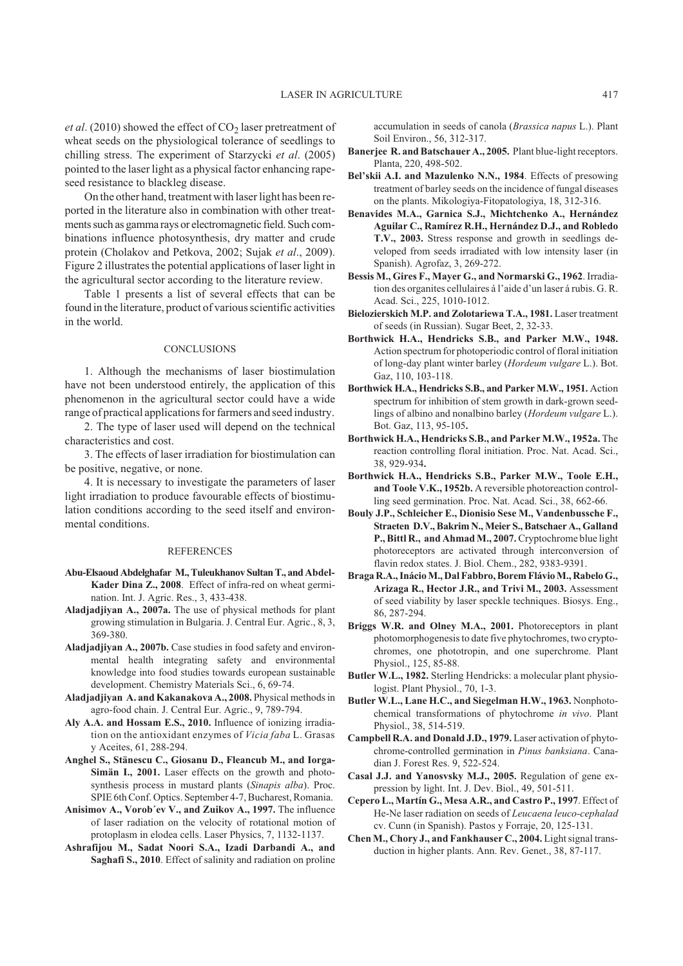et al. (2010) showed the effect of CO<sub>2</sub> laser pretreatment of wheat seeds on the physiological tolerance of seedlings to chilling stress. The experiment of Starzycki *et al*. (2005) pointed to the laser light as a physical factor enhancing rapeseed resistance to blackleg disease.

On the other hand, treatment with laser light has been reported in the literature also in combination with other treatments such as gamma rays or electromagnetic field. Such combinations influence photosynthesis, dry matter and crude protein (Cholakov and Petkova, 2002; Sujak *et al*., 2009). Figure 2 illustrates the potential applications of laser light in the agricultural sector according to the literature review.

Table 1 presents a list of several effects that can be found in the literature, product of various scientific activities in the world.

### **CONCLUSIONS**

1. Although the mechanisms of laser biostimulation have not been understood entirely, the application of this phenomenon in the agricultural sector could have a wide range of practical applications for farmers and seed industry.

2. The type of laser used will depend on the technical characteristics and cost.

3. The effects of laser irradiation for biostimulation can be positive, negative, or none.

4. It is necessary to investigate the parameters of laser light irradiation to produce favourable effects of biostimulation conditions according to the seed itself and environmental conditions.

### **REFERENCES**

- **Abu-Elsaoud Abdelghafar M., Tuleukhanov Sultan T., and Abdel-Kader Dina Z., 2008**. Effect of infra-red on wheat germination. Int. J. Agric. Res., 3, 433-438.
- **Aladjadjiyan A., 2007a.** The use of physical methods for plant growing stimulation in Bulgaria. J. Central Eur. Agric., 8, 3, 369-380.
- **Aladjadjiyan A., 2007b.** Case studies in food safety and environmental health integrating safety and environmental knowledge into food studies towards european sustainable development. Chemistry Materials Sci., 6, 69-74.
- **Aladjadjiyan A. and Kakanakova A., 2008.** Physical methods in agro-food chain. J. Central Eur. Agric., 9, 789-794.
- **Aly A.A. and Hossam E.S., 2010.** Influence of ionizing irradiation on the antioxidant enzymes of *Vicia faba* L. Grasas y Aceites, 61, 288-294.
- **Anghel S., Stänescu C., Giosanu D., Fleancub M., and Iorga-Simän I., 2001.** Laser effects on the growth and photosynthesis process in mustard plants (*Sinapis alba*). Proc. SPIE 6th Conf. Optics. September 4-7, Bucharest, Romania.
- **Anisimov A., Vorob´ev V., and Zuikov A., 1997.** The influence of laser radiation on the velocity of rotational motion of protoplasm in elodea cells. Laser Physics, 7, 1132-1137.
- **Ashrafijou M., Sadat Noori S.A., Izadi Darbandi A., and Saghafi S., 2010**. Effect of salinity and radiation on proline

accumulation in seeds of canola (*Brassica napus* L.). Plant Soil Environ., 56, 312-317.

- **Banerjee R. and Batschauer A., 2005.** Plant blue-light receptors. Planta, 220, 498-502.
- **Bel'skii A.I. and Mazulenko N.N., 1984**. Effects of presowing treatment of barley seeds on the incidence of fungal diseases on the plants. Mikologiya-Fitopatologiya, 18, 312-316.
- **Benavides M.A., Garnica S.J., Michtchenko A., Hernández Aguilar C., Ramírez R.H., Hernández D.J., and Robledo T.V., 2003.** Stress response and growth in seedlings developed from seeds irradiated with low intensity laser (in Spanish). Agrofaz, 3, 269-272.
- **Bessis M., Gires F., Mayer G., and Normarski G., 1962**. Irradiation des organites cellulaires á l'aide d'un laser á rubis. G. R. Acad. Sci., 225, 1010-1012.
- **Bielozierskich M.P. and Zolotariewa T.A., 1981.** Laser treatment of seeds (in Russian). Sugar Beet, 2, 32-33.
- **Borthwick H.A., Hendricks S.B., and Parker M.W., 1948.** Action spectrum for photoperiodic control of floral initiation of long-day plant winter barley (*Hordeum vulgare* L.). Bot. Gaz, 110, 103-118.
- **Borthwick H.A., Hendricks S.B., and Parker M.W., 1951.** Action spectrum for inhibition of stem growth in dark-grown seedlings of albino and nonalbino barley (*Hordeum vulgare* L.). Bot. Gaz, 113, 95-105**.**
- **Borthwick H.A., Hendricks S.B., and Parker M.W., 1952a.** The reaction controlling floral initiation. Proc. Nat. Acad. Sci., 38, 929-934**.**
- **Borthwick H.A., Hendricks S.B., Parker M.W., Toole E.H., and Toole V.K., 1952b.** A reversible photoreaction controlling seed germination. Proc. Nat. Acad. Sci., 38, 662-66.
- **Bouly J.P., Schleicher E., Dionisio Sese M., Vandenbussche F., Straeten D.V., Bakrim N., Meier S., Batschaer A., Galland P., Bittl R., and Ahmad M., 2007.**Cryptochrome blue light photoreceptors are activated through interconversion of flavin redox states. J. Biol. Chem., 282, 9383-9391.
- **Braga R.A., InácioM., Dal Fabbro, Borem FlávioM., Rabelo G., Arizaga R., Hector J.R., and Trivi M., 2003.** Assessment of seed viability by laser speckle techniques. Biosys. Eng., 86, 287-294.
- **Briggs W.R. and Olney M.A., 2001.** Photoreceptors in plant photomorphogenesis to date five phytochromes, two cryptochromes, one phototropin, and one superchrome. Plant Physiol., 125, 85-88.
- **Butler W.L., 1982.** Sterling Hendricks: a molecular plant physiologist. Plant Physiol., 70, 1-3.
- **Butler W.L., Lane H.C., and Siegelman H.W., 1963.** Nonphotochemical transformations of phytochrome *in vivo*. Plant Physiol., 38, 514-519.
- **Campbell R.A. and Donald J.D., 1979.** Laser activation of phytochrome-controlled germination in *Pinus banksiana*. Canadian J. Forest Res. 9, 522-524.
- **Casal J.J. and Yanosvsky M.J., 2005.** Regulation of gene expression by light. Int. J. Dev. Biol., 49, 501-511.
- **Cepero L., Martín G., Mesa A.R., and Castro P., 1997**. Effect of He-Ne laser radiation on seeds of *Leucaena leuco-cephalad* cv. Cunn (in Spanish). Pastos y Forraje, 20, 125-131.
- **Chen M., Chory J., and Fankhauser C., 2004.** Light signal transduction in higher plants. Ann. Rev. Genet., 38, 87-117.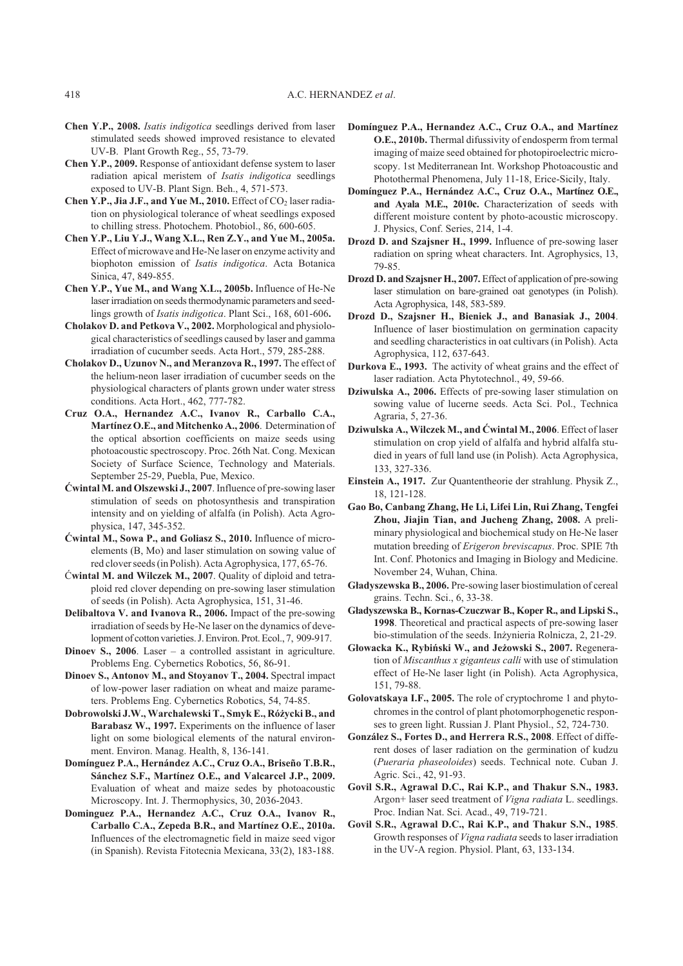- **Chen Y.P., 2008.** *Isatis indigotica* seedlings derived from laser stimulated seeds showed improved resistance to elevated UV-B. Plant Growth Reg., 55, 73-79.
- **Chen Y.P., 2009.** Response of antioxidant defense system to laser radiation apical meristem of *Isatis indigotica* seedlings exposed to UV-B. Plant Sign. Beh., 4, 571-573.
- **Chen Y.P., Jia J.F., and Yue M., 2010.** Effect of  $CO<sub>2</sub>$  laser radiation on physiological tolerance of wheat seedlings exposed to chilling stress. Photochem. Photobiol., 86, 600-605.
- **Chen Y.P., Liu Y.J., Wang X.L., Ren Z.Y., and Yue M., 2005a.** Effect of microwave and He-Ne laser on enzyme activity and biophoton emission of *Isatis indigotica*. Acta Botanica Sinica, 47, 849-855.
- **Chen Y.P., Yue M., and Wang X.L., 2005b.** Influence of He-Ne laser irradiation on seeds thermodynamic parameters and seedlings growth of *Isatis indigotica*. Plant Sci., 168, 601-606**.**
- **Cholakov D. and Petkova V., 2002.** Morphological and physiological characteristics of seedlings caused by laser and gamma irradiation of cucumber seeds. Acta Hort., 579, 285-288.
- **Cholakov D., Uzunov N., and Meranzova R., 1997.** The effect of the helium-neon laser irradiation of cucumber seeds on the physiological characters of plants grown under water stress conditions. Acta Hort., 462, 777-782.
- **Cruz O.A., Hernandez A.C., Ivanov R., Carballo C.A.,** Martínez O.E., and Mitchenko A., 2006. Determination of the optical absortion coefficients on maize seeds using photoacoustic spectroscopy. Proc. 26th Nat. Cong. Mexican Society of Surface Science, Technology and Materials. September 25-29, Puebla, Pue, Mexico.
- **Æwintal M. and Olszewski J., 2007**. Influence of pre-sowing laser stimulation of seeds on photosynthesis and transpiration intensity and on yielding of alfalfa (in Polish). Acta Agrophysica, 147, 345-352.
- **Æwintal M., Sowa P., and Goliasz S., 2010.** Influence of microelements (B, Mo) and laser stimulation on sowing value of red clover seeds (in Polish). Acta Agrophysica, 177, 65-76.
- Æ**wintal M. and Wilczek M., 2007**. Quality of diploid and tetraploid red clover depending on pre-sowing laser stimulation of seeds (in Polish). Acta Agrophysica, 151, 31-46.
- **Delibaltova V. and Ivanova R., 2006.** Impact of the pre-sowing irradiation of seeds by He-Ne laser on the dynamics of development of cotton varieties. J. Environ. Prot. Ecol., 7, 909-917.
- **Dinoev S., 2006**. Laser a controlled assistant in agriculture. Problems Eng. Cybernetics Robotics, 56, 86-91.
- **Dinoev S., Antonov M., and Stoyanov T., 2004.** Spectral impact of low-power laser radiation on wheat and maize parameters. Problems Eng. Cybernetics Robotics, 54, 74-85.
- **Dobrowolski J.W., Warchalewski T., Smyk E., Ró¿ycki B., and Barabasz W., 1997.** Experiments on the influence of laser light on some biological elements of the natural environment. Environ. Manag. Health, 8, 136-141.
- **Domínguez P.A., Hernández A.C., Cruz O.A., Briseño T.B.R., Sánchez S.F., Martínez O.E., and Valcarcel J.P., 2009.** Evaluation of wheat and maize sedes by photoacoustic Microscopy. Int. J. Thermophysics, 30, 2036-2043.
- **Dominguez P.A., Hernandez A.C., Cruz O.A., Ivanov R., Carballo C.A., Zepeda B.R., and Martínez O.E., 2010a.** Influences of the electromagnetic field in maize seed vigor (in Spanish). Revista Fitotecnia Mexicana, 33(2), 183-188.
- **Domínguez P.A., Hernandez A.C., Cruz O.A., and Martínez O.E., 2010b.** Thermal difussivity of endosperm from termal imaging of maize seed obtained for photopiroelectric microscopy. 1st Mediterranean Int. Workshop Photoacoustic and Photothermal Phenomena, July 11-18, Erice-Sicily, Italy.
- **Domínguez P.A., Hernández A.C., Cruz O.A., Martínez O.E., and Ayala M.E., 2010c.** Characterization of seeds with different moisture content by photo-acoustic microscopy. J. Physics, Conf. Series, 214, 1-4.
- **Drozd D. and Szajsner H., 1999.** Influence of pre-sowing laser radiation on spring wheat characters. Int. Agrophysics, 13, 79-85.
- **Drozd D. and Szajsner H., 2007.** Effect of application of pre-sowing laser stimulation on bare-grained oat genotypes (in Polish). Acta Agrophysica, 148, 583-589.
- **Drozd D., Szajsner H., Bieniek J., and Banasiak J., 2004**. Influence of laser biostimulation on germination capacity and seedling characteristics in oat cultivars (in Polish). Acta Agrophysica, 112, 637-643.
- **Durkova E., 1993.** The activity of wheat grains and the effect of laser radiation. Acta Phytotechnol., 49, 59-66.
- **Dziwulska A., 2006.** Effects of pre-sowing laser stimulation on sowing value of lucerne seeds. Acta Sci. Pol., Technica Agraria, 5, 27-36.
- Dziwulska A., Wilczek M., and Ćwintal M., 2006. Effect of laser stimulation on crop yield of alfalfa and hybrid alfalfa studied in years of full land use (in Polish). Acta Agrophysica, 133, 327-336.
- **Einstein A., 1917.** Zur Quantentheorie der strahlung. Physik Z., 18, 121-128.
- **Gao Bo, Canbang Zhang, He Li, Lifei Lin, Rui Zhang, Tengfei Zhou, Jiajin Tian, and Jucheng Zhang, 2008.** A preliminary physiological and biochemical study on He-Ne laser mutation breeding of *Erigeron breviscapus*. Proc. SPIE 7th Int. Conf. Photonics and Imaging in Biology and Medicine. November 24, Wuhan, China.
- Gładyszewska B., 2006. Pre-sowing laser biostimulation of cereal grains. Techn. Sci., 6, 33-38.
- **G³adyszewska B., Kornas-Czuczwar B., Koper R., and Lipski S., 1998**. Theoretical and practical aspects of pre-sowing laser bio-stimulation of the seeds. Inżynieria Rolnicza, 2, 21-29.
- Głowacka K., Rybiński W., and Jeżowski S., 2007. Regeneration of *Miscanthus x giganteus calli* with use of stimulation effect of He-Ne laser light (in Polish). Acta Agrophysica, 151, 79-88.
- **Golovatskaya I.F., 2005.** The role of cryptochrome 1 and phytochromes in the control of plant photomorphogenetic responses to green light. Russian J. Plant Physiol., 52, 724-730.
- **González S., Fortes D., and Herrera R.S., 2008**. Effect of different doses of laser radiation on the germination of kudzu (*Pueraria phaseoloides*) seeds. Technical note. Cuban J. Agric. Sci., 42, 91-93.
- **Govil S.R., Agrawal D.C., Rai K.P., and Thakur S.N., 1983.** Argon+ laser seed treatment of *Vigna radiata* L. seedlings. Proc. Indian Nat. Sci. Acad., 49, 719-721.
- **Govil S.R., Agrawal D.C., Rai K.P., and Thakur S.N., 1985**. Growth responses of *Vigna radiata* seeds to laser irradiation in the UV-A region. Physiol. Plant, 63, 133-134.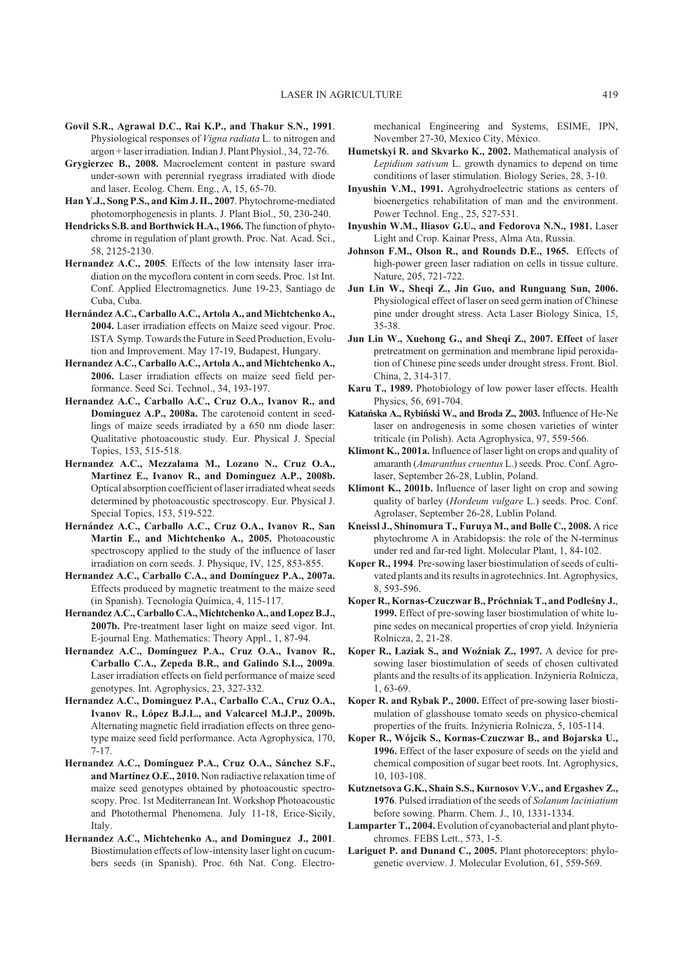- **Govil S.R., Agrawal D.C., Rai K.P., and Thakur S.N., 1991**. Physiological responses of *Vigna radiata* L. to nitrogen and argon + laser irradiation. Indian J. Plant Physiol., 34, 72-76.
- **Grygierzec B., 2008.** Macroelement content in pasture sward under-sown with perennial ryegrass irradiated with diode and laser. Ecolog. Chem. Eng., A, 15, 65-70.
- **Han Y.J., Song P.S., and Kim J. II., 2007**. Phytochrome-mediated photomorphogenesis in plants. J. Plant Biol., 50, 230-240.
- **Hendricks S.B. and Borthwick H.A., 1966.** The function of phytochrome in regulation of plant growth. Proc. Nat. Acad. Sci., 58, 2125-2130.
- **Hernandez A.C., 2005**. Effects of the low intensity laser irradiation on the mycoflora content in corn seeds. Proc. 1st Int. Conf. Applied Electromagnetics. June 19-23, Santiago de Cuba, Cuba.
- Hernández A.C., Carballo A.C., Artola A., and Michtchenko A., **2004.** Laser irradiation effects on Maize seed vigour. Proc. ISTA Symp. Towards the Future in Seed Production, Evolution and Improvement. May 17-19, Budapest, Hungary.
- Hernandez A.C., Carballo A.C., Artola A., and Michtchenko A., **2006.** Laser irradiation effects on maize seed field performance. Seed Sci. Technol., 34, 193-197.
- **Hernandez A.C., Carballo A.C., Cruz O.A., Ivanov R., and Dominguez A.P., 2008a.** The carotenoid content in seedlings of maize seeds irradiated by a 650 nm diode laser: Qualitative photoacoustic study. Eur. Physical J. Special Topics, 153, 515-518.
- **Hernandez A.C., Mezzalama M., Lozano N., Cruz O.A., Martinez E., Ivanov R., and Domínguez A.P., 2008b.** Optical absorption coefficient of laser irradiated wheat seeds determined by photoacoustic spectroscopy. Eur. Physical J. Special Topics, 153, 519-522.
- **Hernández A.C., Carballo A.C., Cruz O.A., Ivanov R., San Martin E., and Michtchenko A., 2005.** Photoacoustic spectroscopy applied to the study of the influence of laser irradiation on corn seeds. J. Physique, IV, 125, 853-855.
- **Hernandez A.C., Carballo C.A., and Domínguez P.A., 2007a.** Effects produced by magnetic treatment to the maize seed (in Spanish). Tecnología Química, 4, 115-117.
- **Hernandez A.C., Carballo C.A.,Michtchenko A., and Lopez B.J., 2007b.** Pre-treatment laser light on maize seed vigor. Int. E-journal Eng. Mathematics: Theory Appl., 1, 87-94.
- **Hernandez A.C., Domínguez P.A., Cruz O.A., Ivanov R., Carballo C.A., Zepeda B.R., and Galindo S.L., 2009a**. Laser irradiation effects on field performance of maize seed genotypes. Int. Agrophysics, 23, 327-332.
- **Hernandez A.C., Dominguez P.A., Carballo C.A., Cruz O.A., Ivanov R., López B.J.L., and Valcarcel M.J.P., 2009b.** Alternating magnetic field irradiation effects on three genotype maize seed field performance. Acta Agrophysica, 170, 7-17.
- **Hernandez A.C., Domínguez P.A., Cruz O.A., Sánchez S.F., and Martínez O.E., 2010.** Non radiactive relaxation time of maize seed genotypes obtained by photoacoustic spectroscopy. Proc. 1st Mediterranean Int. Workshop Photoacoustic and Photothermal Phenomena. July 11-18, Erice-Sicily, Italy.
- **Hernandez A.C., Michtchenko A., and Dominguez J., 2001**. Biostimulation effects of low-intensity laser light on cucumbers seeds (in Spanish). Proc. 6th Nat. Cong. Electro-

mechanical Engineering and Systems, ESIME, IPN, November 27-30, Mexico City, México.

- **Humetskyi R. and Skvarko K., 2002.** Mathematical analysis of *Lepidium sativum* L. growth dynamics to depend on time conditions of laser stimulation. Biology Series, 28, 3-10.
- **Inyushin V.M., 1991.** Agrohydroelectric stations as centers of bioenergetics rehabilitation of man and the environment. Power Technol. Eng., 25, 527-531.
- **Inyushin W.M., Iliasov G.U., and Fedorova N.N., 1981.** Laser Light and Crop. Kainar Press, Alma Ata, Russia.
- **Johnson F.M., Olson R., and Rounds D.E., 1965.** Effects of high-power green laser radiation on cells in tissue culture. Nature, 205, 721-722.
- **Jun Lin W., Sheqi Z., Jin Guo, and Runguang Sun, 2006.** Physiological effect of laser on seed germ ination of Chinese pine under drought stress. Acta Laser Biology Sinica, 15, 35-38.
- **Jun Lin W., Xuehong G., and Sheqi Z., 2007. Effect** of laser pretreatment on germination and membrane lipid peroxidation of Chinese pine seeds under drought stress. Front. Biol. China, 2, 314-317.
- **Karu T., 1989.** Photobiology of low power laser effects. Health Physics, 56, 691-704.
- **Katañska A., Rybiñski W., and Broda Z., 2003.** Influence of He-Ne laser on androgenesis in some chosen varieties of winter triticale (in Polish). Acta Agrophysica, 97, 559-566.
- **Klimont K., 2001a.** Influence of laser light on crops and quality of amaranth (*Amaranthus cruentus* L.) seeds. Proc. Conf. Agrolaser, September 26-28, Lublin, Poland.
- **Klimont K., 2001b.** Influence of laser light on crop and sowing quality of barley (*Hordeum vulgare* L.) seeds. Proc. Conf. Agrolaser, September 26-28, Lublin Poland.
- **Kneissl J., Shinomura T., Furuya M., and Bolle C., 2008.** A rice phytochrome A in Arabidopsis: the role of the N-terminus under red and far-red light. Molecular Plant, 1, 84-102.
- **Koper R., 1994**. Pre-sowing laser biostimulation of seeds of cultivated plants and its results in agrotechnics. Int. Agrophysics, 8, 593-596.
- Koper R., Kornas-Czuczwar B., Próchniak T., and Podleśny J., **1999.** Effect of pre-sowing laser biostimulation of white lupine sedes on mecanical properties of crop yield. Inżynieria Rolnicza, 2, 21-28.
- Koper R., Łaziak S., and Woźniak Z., 1997. A device for presowing laser biostimulation of seeds of chosen cultivated plants and the results of its application. Inżynieria Rolnicza, 1, 63-69.
- **Koper R. and Rybak P., 2000.** Effect of pre-sowing laser biostimulation of glasshouse tomato seeds on physico-chemical properties of the fruits. Inżynieria Rolnicza, 5, 105-114.
- **Koper R., Wójcik S., Kornas-Czuczwar B., and Bojarska U., 1996.** Effect of the laser exposure of seeds on the yield and chemical composition of sugar beet roots. Int. Agrophysics, 10, 103-108.
- **Kutznetsova G.K., Shain S.S., Kurnosov V.V., and Ergashev Z., 1976**. Pulsed irradiation of the seeds of *Solanum laciniatium* before sowing. Pharm. Chem. J., 10, 1331-1334.
- **Lamparter T., 2004.** Evolution of cyanobacterial and plant phytochromes. FEBS Lett., 573, 1-5.
- **Lariguet P. and Dunand C., 2005.** Plant photoreceptors: phylogenetic overview. J. Molecular Evolution, 61, 559-569.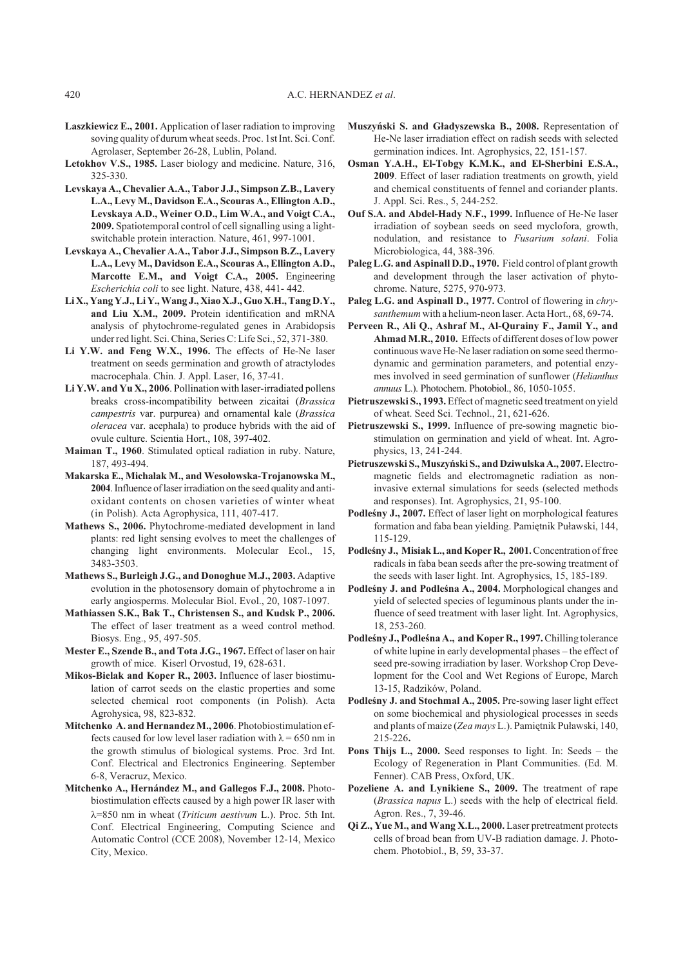- **Laszkiewicz E., 2001.** Application of laser radiation to improving soving quality of durum wheat seeds. Proc. 1st Int. Sci. Conf. Agrolaser, September 26-28, Lublin, Poland.
- **Letokhov V.S., 1985.** Laser biology and medicine. Nature, 316, 325-330.
- **Levskaya A., Chevalier A.A., Tabor J.J., Simpson Z.B., Lavery L.A., Levy M., Davidson E.A., Scouras A., Ellington A.D., Levskaya A.D., Weiner O.D., Lim W.A., and Voigt C.A., 2009.** Spatiotemporal control of cell signalling using a lightswitchable protein interaction. Nature, 461, 997-1001.
- **Levskaya A., Chevalier A.A., Tabor J.J., Simpson B.Z., Lavery L.A., Levy M., Davidson E.A., Scouras A., Ellington A.D., Marcotte E.M., and Voigt C.A., 2005.** Engineering *Escherichia coli* to see light. Nature, 438, 441- 442.
- **Li X., Yang Y.J., Li Y.,Wang J., Xiao X.J., Guo X.H., Tang D.Y., and Liu X.M., 2009.** Protein identification and mRNA analysis of phytochrome-regulated genes in Arabidopsis under red light. Sci. China, Series C: Life Sci., 52, 371-380.
- **Li Y.W. and Feng W.X., 1996.** The effects of He-Ne laser treatment on seeds germination and growth of atractylodes macrocephala. Chin. J. Appl. Laser, 16, 37-41.
- **Li Y.W. and Yu X., 2006**. Pollination with laser-irradiated pollens breaks cross-incompatibility between zicaitai (*Brassica campestris* var. purpurea) and ornamental kale (*Brassica oleracea* var. acephala) to produce hybrids with the aid of ovule culture. Scientia Hort., 108, 397-402.
- **Maiman T., 1960**. Stimulated optical radiation in ruby. Nature, 187, 493-494.
- Makarska E., Michalak M., and Wesołowska-Trojanowska M., **2004**. Influence of laser irradiation on the seed quality and antioxidant contents on chosen varieties of winter wheat (in Polish). Acta Agrophysica, 111, 407-417.
- **Mathews S., 2006.** Phytochrome-mediated development in land plants: red light sensing evolves to meet the challenges of changing light environments. Molecular Ecol., 15, 3483-3503.
- **Mathews S., Burleigh J.G., and Donoghue M.J., 2003.** Adaptive evolution in the photosensory domain of phytochrome a in early angiosperms. Molecular Biol. Evol., 20, 1087-1097.
- **Mathiassen S.K., Bak T., Christensen S., and Kudsk P., 2006.** The effect of laser treatment as a weed control method. Biosys. Eng., 95, 497-505.
- **Mester E., Szende B., and Tota J.G., 1967.** Effect of laser on hair growth of mice. Kiserl Orvostud, 19, 628-631.
- **Mikos-Bielak and Koper R., 2003.** Influence of laser biostimulation of carrot seeds on the elastic properties and some selected chemical root components (in Polish). Acta Agrohysica, 98, 823-832.
- **Mitchenko A. and Hernandez M., 2006**. Photobiostimulation effects caused for low level laser radiation with  $\lambda = 650$  nm in the growth stimulus of biological systems. Proc. 3rd Int. Conf. Electrical and Electronics Engineering. September 6-8, Veracruz, Mexico.
- **Mitchenko A., Hernández M., and Gallegos F.J., 2008.** Photobiostimulation effects caused by a high power IR laser with l=850 nm in wheat (*Triticum aestivum* L.). Proc. 5th Int. Conf. Electrical Engineering, Computing Science and Automatic Control (CCE 2008), November 12-14, Mexico City, Mexico.
- **Muszyñski S. and G³adyszewska B., 2008.** Representation of He-Ne laser irradiation effect on radish seeds with selected germination indices. Int. Agrophysics, 22, 151-157.
- **Osman Y.A.H., El-Tobgy K.M.K., and El-Sherbini E.S.A., 2009**. Effect of laser radiation treatments on growth, yield and chemical constituents of fennel and coriander plants. J. Appl. Sci. Res., 5, 244-252.
- **Ouf S.A. and Abdel-Hady N.F., 1999.** Influence of He-Ne laser irradiation of soybean seeds on seed myclofora, growth, nodulation, and resistance to *Fusarium solani*. Folia Microbiologica, 44, 388-396.
- **Paleg L.G. and Aspinall D.D., 1970.** Field control of plant growth and development through the laser activation of phytochrome. Nature, 5275, 970-973.
- **Paleg L.G. and Aspinall D., 1977.** Control of flowering in *chrysanthemum* with a helium-neon laser. Acta Hort., 68, 69-74.
- **Perveen R., Ali Q., Ashraf M., Al-Qurainy F., Jamil Y., and Ahmad M.R., 2010.** Effects of different doses of low power continuous wave He-Ne laser radiation on some seed thermodynamic and germination parameters, and potential enzymes involved in seed germination of sunflower (*Helianthus annuus* L.). Photochem. Photobiol., 86, 1050-1055.
- **Pietruszewski S., 1993.** Effect of magnetic seed treatment on yield of wheat. Seed Sci. Technol., 21, 621-626.
- **Pietruszewski S., 1999.** Influence of pre-sowing magnetic biostimulation on germination and yield of wheat. Int. Agrophysics, 13, 241-244.
- **Pietruszewski S.,Muszyñski S., and Dziwulska A., 2007.**Electromagnetic fields and electromagnetic radiation as noninvasive external simulations for seeds (selected methods and responses). Int. Agrophysics, 21, 95-100.
- Podleśny J., 2007. Effect of laser light on morphological features formation and faba bean yielding. Pamietnik Puławski, 144, 115-129.
- Podleśny J., Misiak L., and Koper R., 2001. Concentration of free radicals in faba bean seeds after the pre-sowing treatment of the seeds with laser light. Int. Agrophysics, 15, 185-189.
- Podleśny J. and Podleśna A., 2004. Morphological changes and yield of selected species of leguminous plants under the influence of seed treatment with laser light. Int. Agrophysics, 18, 253-260.
- Podleśny J., Podleśna A., and Koper R., 1997. Chilling tolerance of white lupine in early developmental phases – the effect of seed pre-sowing irradiation by laser. Workshop Crop Development for the Cool and Wet Regions of Europe, March 13-15, Radzików, Poland.
- Podleśny J. and Stochmal A., 2005. Pre-sowing laser light effect on some biochemical and physiological processes in seeds and plants of maize (*Zea mays L.*). Pamiętnik Puławski, 140, 215-226**.**
- **Pons Thijs L., 2000.** Seed responses to light. In: Seeds the Ecology of Regeneration in Plant Communities. (Ed. M. Fenner). CAB Press, Oxford, UK.
- **Pozeliene A. and Lynikiene S., 2009.** The treatment of rape (*Brassica napus* L.) seeds with the help of electrical field. Agron. Res., 7, 39-46.
- **Qi Z., Yue M., and Wang X.L., 2000.** Laser pretreatment protects cells of broad bean from UV-B radiation damage. J. Photochem. Photobiol., B, 59, 33-37.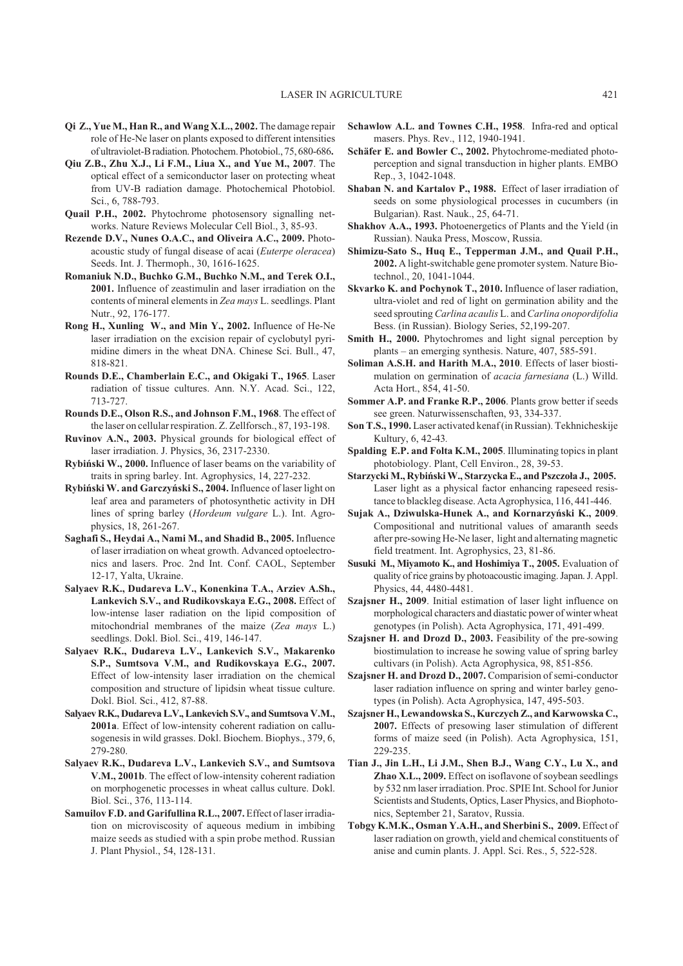- **Qi Z., Yue M., Han R., and Wang X.L., 2002.** The damage repair role of He-Ne laser on plants exposed to different intensities of ultraviolet-B radiation. Photochem. Photobiol., 75, 680-686**.**
- **Qiu Z.B., Zhu X.J., Li F.M., Liua X., and Yue M., 2007**. The optical effect of a semiconductor laser on protecting wheat from UV-B radiation damage. Photochemical Photobiol. Sci., 6, 788-793.
- **Quail P.H., 2002.** Phytochrome photosensory signalling networks. Nature Reviews Molecular Cell Biol., 3, 85-93.
- **Rezende D.V., Nunes O.A.C., and Oliveira A.C., 2009.** Photoacoustic study of fungal disease of acai (*Euterpe oleracea*) Seeds. Int. J. Thermoph., 30, 1616-1625.
- **Romaniuk N.D., Buchko G.M., Buchko N.M., and Terek O.I., 2001.** Influence of zeastimulin and laser irradiation on the contents of mineral elements in *Zea mays* L. seedlings. Plant Nutr., 92, 176-177.
- **Rong H., Xunling W., and Min Y., 2002.** Influence of He-Ne laser irradiation on the excision repair of cyclobutyl pyrimidine dimers in the wheat DNA. Chinese Sci. Bull., 47, 818-821.
- **Rounds D.E., Chamberlain E.C., and Okigaki T., 1965**. Laser radiation of tissue cultures. Ann. N.Y. Acad. Sci., 122, 713-727.
- **Rounds D.E., Olson R.S., and Johnson F.M., 1968**. The effect of the laser on cellular respiration. Z. Zellforsch., 87, 193-198.
- **Ruvinov A.N., 2003.** Physical grounds for biological effect of laser irradiation. J. Physics, 36, 2317-2330.
- **Rybiñski W., 2000.** Influence of laser beams on the variability of traits in spring barley. Int. Agrophysics, 14, 227-232.
- **Rybiñski W. and Garczyñski S., 2004.** Influence of laser light on leaf area and parameters of photosynthetic activity in DH lines of spring barley (*Hordeum vulgare* L.). Int. Agrophysics, 18, 261-267.
- **Saghafi S., Heydai A., Nami M., and Shadid B., 2005.** Influence of laser irradiation on wheat growth. Advanced optoelectronics and lasers. Proc. 2nd Int. Conf. CAOL, September 12-17, Yalta, Ukraine.
- **Salyaev R.K., Dudareva L.V., Konenkina T.A., Arziev A.Sh., Lankevich S.V., and Rudikovskaya E.G., 2008.** Effect of low-intense laser radiation on the lipid composition of mitochondrial membranes of the maize (*Zea mays* L.) seedlings. Dokl. Biol. Sci., 419, 146-147.
- **Salyaev R.K., Dudareva L.V., Lankevich S.V., Makarenko S.P., Sumtsova V.M., and Rudikovskaya E.G., 2007.** Effect of low-intensity laser irradiation on the chemical composition and structure of lipidsin wheat tissue culture. Dokl. Biol. Sci., 412, 87-88.
- **Salyaev R.K., Dudareva L.V., Lankevich S.V., and Sumtsova V.M., 2001a**. Effect of low-intensity coherent radiation on callusogenesis in wild grasses. Dokl. Biochem. Biophys., 379, 6, 279-280.
- **Salyaev R.K., Dudareva L.V., Lankevich S.V., and Sumtsova V.M., 2001b**. The effect of low-intensity coherent radiation on morphogenetic processes in wheat callus culture. Dokl. Biol. Sci., 376, 113-114.
- **Samuilov F.D. and Garifullina R.L., 2007.** Effect of laser irradiation on microviscosity of aqueous medium in imbibing maize seeds as studied with a spin probe method. Russian J. Plant Physiol., 54, 128-131.
- **Schawlow A.L. and Townes C.H., 1958**. Infra-red and optical masers. Phys. Rev., 112, 1940-1941.
- **Schäfer E. and Bowler C., 2002.** Phytochrome-mediated photoperception and signal transduction in higher plants. EMBO Rep., 3, 1042-1048.
- **Shaban N. and Kartalov P., 1988.** Effect of laser irradiation of seeds on some physiological processes in cucumbers (in Bulgarian). Rast. Nauk., 25, 64-71.
- **Shakhov A.A., 1993.** Photoenergetics of Plants and the Yield (in Russian). Nauka Press, Moscow, Russia.
- **Shimizu-Sato S., Huq E., Tepperman J.M., and Quail P.H., 2002.** A light-switchable gene promoter system. Nature Biotechnol., 20, 1041-1044.
- **Skvarko K. and Pochynok T., 2010.** Influence of laser radiation, ultra-violet and red of light on germination ability and the seed sprouting *Carlina acaulis* L. and *Carlina onopordifolia* Bess. (in Russian). Biology Series, 52,199-207.
- **Smith H., 2000.** Phytochromes and light signal perception by plants – an emerging synthesis. Nature, 407, 585-591.
- **Soliman A.S.H. and Harith M.A., 2010**. Effects of laser biostimulation on germination of *acacia farnesiana* (L.) Willd. Acta Hort., 854, 41-50.
- **Sommer A.P. and Franke R.P., 2006**. Plants grow better if seeds see green. Naturwissenschaften, 93, 334-337.
- **Son T.S., 1990.** Laser activated kenaf (in Russian). Tekhnicheskije Kultury, 6, 42-43*.*
- **Spalding E.P. and Folta K.M., 2005**. Illuminating topics in plant photobiology. Plant, Cell Environ., 28, 39-53.
- Starzycki M., Rybiński W., Starzycka E., and Pszczoła J., 2005. Laser light as a physical factor enhancing rapeseed resistance to blackleg disease. Acta Agrophysica, 116, 441-446.
- **Sujak A., Dziwulska-Hunek A., and Kornarzyñski K., 2009**. Compositional and nutritional values of amaranth seeds after pre-sowing He-Ne laser, light and alternating magnetic field treatment. Int. Agrophysics, 23, 81-86.
- **Susuki M., Miyamoto K., and Hoshimiya T., 2005.** Evaluation of quality of rice grains by photoacoustic imaging. Japan. J. Appl. Physics, 44, 4480-4481.
- **Szajsner H., 2009**. Initial estimation of laser light influence on morphological characters and diastatic power of winter wheat genotypes (in Polish). Acta Agrophysica, 171, 491-499.
- **Szajsner H. and Drozd D., 2003.** Feasibility of the pre-sowing biostimulation to increase he sowing value of spring barley cultivars (in Polish). Acta Agrophysica, 98, 851-856.
- **Szajsner H. and Drozd D., 2007.** Comparision of semi-conductor laser radiation influence on spring and winter barley genotypes (in Polish). Acta Agrophysica, 147, 495-503.
- **Szajsner H., Lewandowska S., Kurczych Z., and Karwowska C., 2007.** Effects of presowing laser stimulation of different forms of maize seed (in Polish). Acta Agrophysica, 151, 229-235.
- **Tian J., Jin L.H., Li J.M., Shen B.J., Wang C.Y., Lu X., and Zhao X.L., 2009.** Effect on isoflavone of soybean seedlings by 532 nm laser irradiation. Proc. SPIE Int. School for Junior Scientists and Students, Optics, Laser Physics, and Biophotonics, September 21, Saratov, Russia.
- **Tobgy K.M.K., Osman Y.A.H., and Sherbini S., 2009.** Effect of laser radiation on growth, yield and chemical constituents of anise and cumin plants. J. Appl. Sci. Res., 5, 522-528.